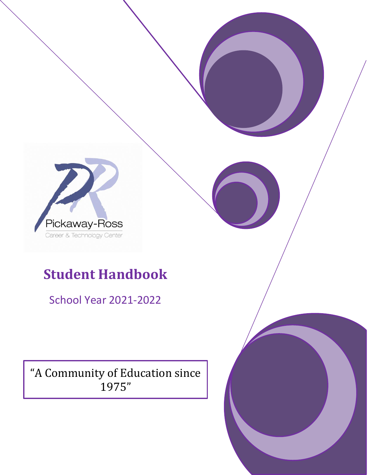

# **Student Handbook**

School Year 2021-2022

"A Community of Education since 1975"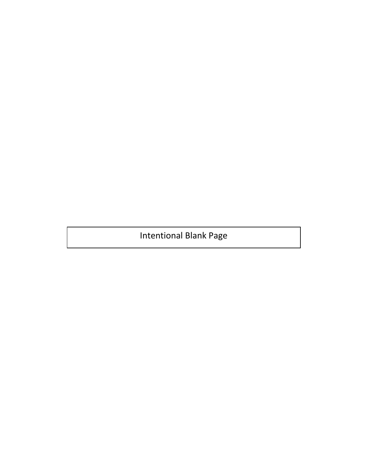Intentional Blank Page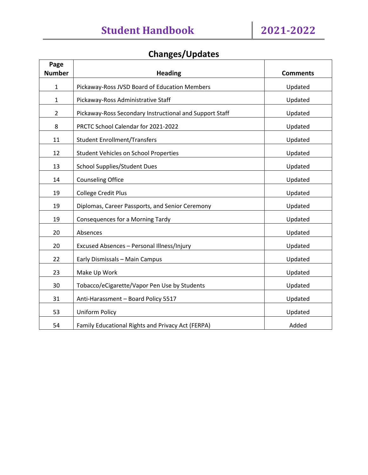# **Changes/Updates**

| Page           |                                                         |                 |
|----------------|---------------------------------------------------------|-----------------|
| <b>Number</b>  | <b>Heading</b>                                          | <b>Comments</b> |
| $\mathbf{1}$   | Pickaway-Ross JVSD Board of Education Members           | Updated         |
| $\mathbf{1}$   | Pickaway-Ross Administrative Staff                      | Updated         |
| $\overline{2}$ | Pickaway-Ross Secondary Instructional and Support Staff | Updated         |
| 8              | PRCTC School Calendar for 2021-2022                     | Updated         |
| 11             | <b>Student Enrollment/Transfers</b>                     | Updated         |
| 12             | <b>Student Vehicles on School Properties</b>            | Updated         |
| 13             | <b>School Supplies/Student Dues</b>                     | Updated         |
| 14             | <b>Counseling Office</b>                                | Updated         |
| 19             | <b>College Credit Plus</b>                              | Updated         |
| 19             | Diplomas, Career Passports, and Senior Ceremony         | Updated         |
| 19             | Consequences for a Morning Tardy                        | Updated         |
| 20             | Absences                                                | Updated         |
| 20             | Excused Absences - Personal Illness/Injury              | Updated         |
| 22             | Early Dismissals - Main Campus                          | Updated         |
| 23             | Make Up Work                                            | Updated         |
| 30             | Tobacco/eCigarette/Vapor Pen Use by Students            | Updated         |
| 31             | Anti-Harassment - Board Policy 5517                     | Updated         |
| 53             | <b>Uniform Policy</b>                                   | Updated         |
| 54             | Family Educational Rights and Privacy Act (FERPA)       | Added           |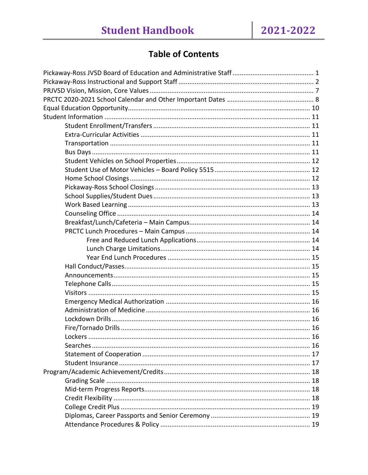# **Table of Contents**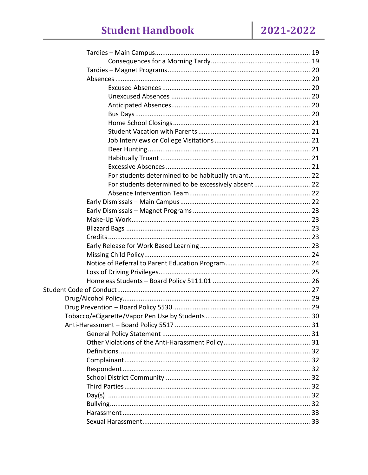# **Student Handbook**

| For students determined to be excessively absent 22 |  |
|-----------------------------------------------------|--|
|                                                     |  |
|                                                     |  |
|                                                     |  |
|                                                     |  |
|                                                     |  |
|                                                     |  |
|                                                     |  |
|                                                     |  |
|                                                     |  |
|                                                     |  |
|                                                     |  |
|                                                     |  |
|                                                     |  |
|                                                     |  |
|                                                     |  |
|                                                     |  |
|                                                     |  |
|                                                     |  |
|                                                     |  |
|                                                     |  |
|                                                     |  |
|                                                     |  |
|                                                     |  |
|                                                     |  |
|                                                     |  |
|                                                     |  |
|                                                     |  |
|                                                     |  |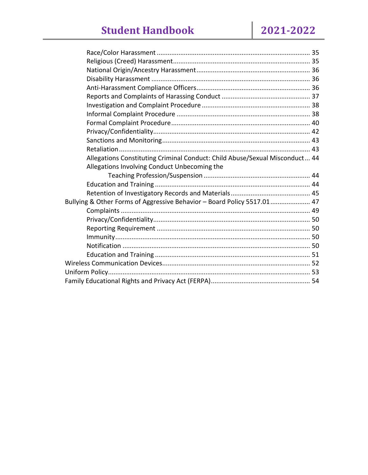| Allegations Constituting Criminal Conduct: Child Abuse/Sexual Misconduct 44 |  |
|-----------------------------------------------------------------------------|--|
| Allegations Involving Conduct Unbecoming the                                |  |
|                                                                             |  |
|                                                                             |  |
|                                                                             |  |
| Bullying & Other Forms of Aggressive Behavior - Board Policy 5517.01 47     |  |
|                                                                             |  |
|                                                                             |  |
|                                                                             |  |
|                                                                             |  |
|                                                                             |  |
|                                                                             |  |
|                                                                             |  |
|                                                                             |  |
|                                                                             |  |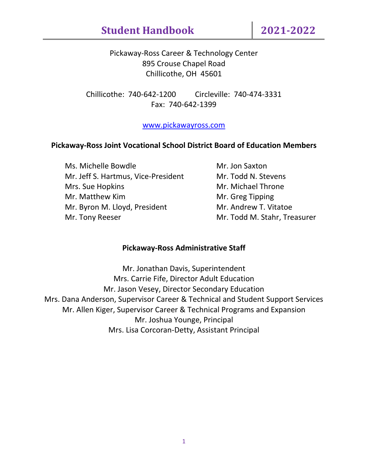Pickaway-Ross Career & Technology Center 895 Crouse Chapel Road Chillicothe, OH 45601

Chillicothe: 740-642-1200 Circleville: 740-474-3331 Fax: 740-642-1399

# [www.pickawayross.com](http://www.pickawayross.com/)

# **Pickaway-Ross Joint Vocational School District Board of Education Members**

Ms. Michelle Bowdle Mr. Jon Saxton Mr. Jeff S. Hartmus, Vice-President Mr. Todd N. Stevens Mrs. Sue Hopkins Mr. Michael Throne Mr. Matthew Kim Mr. Greg Tipping Mr. Byron M. Lloyd, President Mr. Andrew T. Vitatoe Mr. Tony Reeser **Mr. Todd M. Stahr, Treasurer** 

#### **Pickaway-Ross Administrative Staff**

Mr. Jonathan Davis, Superintendent Mrs. Carrie Fife, Director Adult Education Mr. Jason Vesey, Director Secondary Education Mrs. Dana Anderson, Supervisor Career & Technical and Student Support Services Mr. Allen Kiger, Supervisor Career & Technical Programs and Expansion Mr. Joshua Younge, Principal Mrs. Lisa Corcoran-Detty, Assistant Principal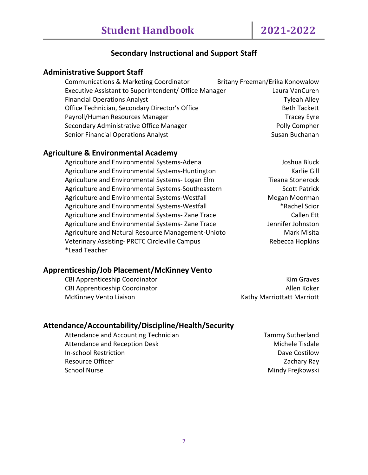# **Secondary Instructional and Support Staff**

# **Administrative Support Staff**

| Britany Freeman/Erika Konowalow                                         |
|-------------------------------------------------------------------------|
| Executive Assistant to Superintendent/ Office Manager<br>Laura VanCuren |
| <b>Tyleah Alley</b>                                                     |
| <b>Beth Tackett</b>                                                     |
| <b>Tracey Eyre</b>                                                      |
| Polly Compher                                                           |
| Susan Buchanan                                                          |
|                                                                         |

#### **Agriculture & Environmental Academy**

Agriculture and Environmental Systems-Adena Joshua Bluck Agriculture and Environmental Systems-Huntington Manuel Controller Gill Agriculture and Environmental Systems- Logan Elm Tieana Stonerock Agriculture and Environmental Systems-Southeastern Scott Patrick Agriculture and Environmental Systems-Westfall Megan Moorman Agriculture and Environmental Systems-Westfall **Fig. 2018** \*Rachel Scior Agriculture and Environmental Systems-Zane Trace Callen Ett Agriculture and Environmental Systems-Zane Trace Statem and Environmental Systems-Zane Trace Agriculture and Natural Resource Management-Unioto Marchista Veterinary Assisting- PRCTC Circleville Campus Manuel Association Rebecca Hopkins \*Lead Teacher

#### **Apprenticeship/Job Placement/McKinney Vento**

CBI Apprenticeship Coordinator **Kim Graves** Kim Graves CBI Apprenticeship Coordinator **Allen Koker** Allen Koker McKinney Vento Liaison **Kathy Marriottatt Marriott** 

#### **Attendance/Accountability/Discipline/Health/Security**

Attendance and Accounting Technician Technician Tammy Sutherland Attendance and Reception Desk Michele Tisdale In-school Restriction **Dave Costilow** Dave Costilow Resource Officer **National According Contract Contract Contract Contract Contract Contract Contract Contract Contract Contract Contract Contract Contract Contract Contract Contract Contract Contract Contract Contract Contr** School Nurse Mindy Freikowski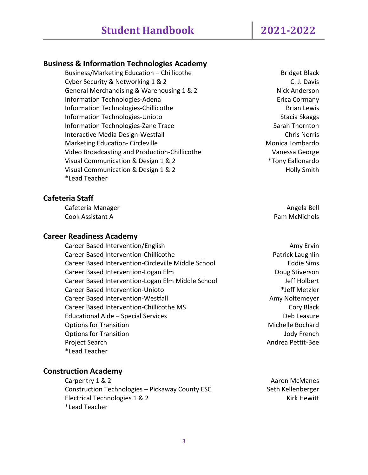#### **Business & Information Technologies Academy**

Business/Marketing Education – Chillicothe Business and Bridget Black Cyber Security & Networking 1 & 2 C. J. Davis General Merchandising & Warehousing 1 & 2 Nick Anderson Information Technologies-Adena **Exercía Exercía Exercía Cormany** Information Technologies-Chillicothe **Brian Lewis** Brian Lewis Information Technologies-Unioto Stacia Skaggs and Stacia Skaggs and Stacia Skaggs and Stacia Skaggs and Stacia Skaggs and Stacia Skaggs and Stacia Skaggs and Stacia Skaggs and Stacia Skaggs and Stacia Skaggs and Stacia Ska Information Technologies-Zane Trace Sarah Thornton Interactive Media Design-Westfall **Chris Norris** Chris Norris Marketing Education- Circleville Monical Lombardo Nonica Lombardo Video Broadcasting and Production-Chillicothe Vanessa George Visual Communication & Design 1 & 2 \*Tony Eallonardo Visual Communication & Design 1 & 2 Holly Smith \*Lead Teacher

#### **Cafeteria Staff**

Cafeteria Manager **Angela Bell** School and The Cafeteria Bell Angela Bell and The Cafeteria Bell and The Cafeteria Bell and The Cafeteria Bell and The Cafeteria Bell and The Cafeteria Bell and The Cafeteria Bell and The Ca Cook Assistant A Pam McNichols

#### **Career Readiness Academy**

Career Based Intervention/English Amy Erving Amy Erving Amy Erving Amy Erving Amy Erving Amy Erving Amy Erving Career Based Intervention-Chillicothe **Patrick Laughlin** Career Based Intervention-Circleville Middle School Eddie Sims Career Based Intervention-Logan Elm **Doug Stiverson** Career Based Intervention-Logan Elm Middle School Jeff Holbert Career Based Intervention-Unioto \*Jeff Metzler Career Based Intervention-Westfall **Amy Noltemeyer** Amy Noltemeyer Career Based Intervention-Chillicothe MS Cory Black Educational Aide – Special Services Deb Leasure Options for Transition and Transition and Transition and Transition and Transition and Michelle Bochard **Options for Transition Community Community Community Community Community Community Community Community Community** Project Search Andrea Pettit-Bee \*Lead Teacher

#### **Construction Academy**

Carpentry 1 & 2 Aaron McManes Construction Technologies – Pickaway County ESC Seth Kellenberger Electrical Technologies 1 & 2 Kirk Hewitt \*Lead Teacher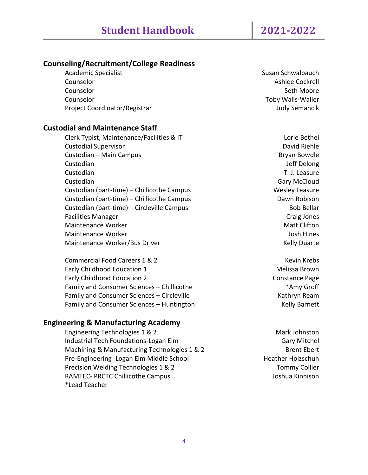# **Counseling/Recruitment/College Readiness**

| <b>Academic Specialist</b>    | Susan Schwalbauch        |
|-------------------------------|--------------------------|
| Counselor                     | Ashlee Cockrell          |
| Counselor                     | Seth Moore               |
| Counselor                     | <b>Toby Walls-Waller</b> |
| Project Coordinator/Registrar | <b>Judy Semancik</b>     |
|                               |                          |

#### **Custodial and Maintenance Staff**

Clerk Typist, Maintenance/Facilities & IT Lorie Bethel Custodial Supervisor David Riehle Custodian – Main Campus Bryan Bowdle Custodian Jeff Delong Custodian T. J. Leasure Custodian Gary McCloud Custodian (part-time) – Chillicothe Campus Wesley Leasure Wesley Leasure Custodian (part-time) – Chillicothe Campus Dawn Robison Custodian (part-time) – Circleville Campus Bob Bellar Facilities Manager **Calculus** Craig Jones **Craig Jones** Maintenance Worker Matt Clifton Matt Clifton Maintenance Worker **Josh Hines** Josh Hines Maintenance Worker/Bus Driver Maintenance Worker/Bus Driver

Commercial Food Careers 1 & 2 Kevin Krebs Early Childhood Education 1 and 1 Melissa Brown Early Childhood Education 2 Constance Page Family and Consumer Sciences – Chillicothe \*Amy Groff Family and Consumer Sciences – Circleville Kathryn Ream Kathryn Ream Family and Consumer Sciences – Huntington Kelly Barnett

#### **Engineering & Manufacturing Academy**

Engineering Technologies 1 & 2 Mark Johnston Industrial Tech Foundations-Logan Elm Gary Mitchel Machining & Manufacturing Technologies 1 & 2 Brent Ebert Ebert Pre-Engineering -Logan Elm Middle School https://www.mateural.com/heather Holzschuh Precision Welding Technologies 1 & 2 Tommy Collier RAMTEC- PRCTC Chillicothe Campus de anno 1992 anno 1992 ann an Ioshua Kinnison \*Lead Teacher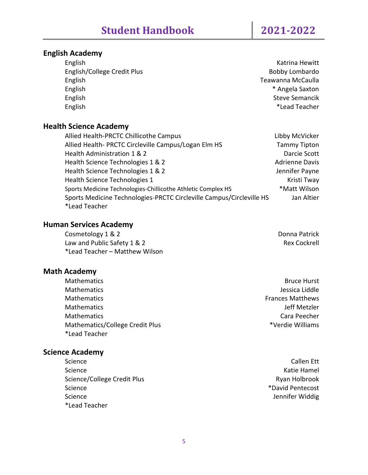# **English Academy**

English Katrina Hewitt English/College Credit Plus **Bobby Lombardo** Bobby Lombardo English Teawanna McCaulla English \* Angela Saxton English Steve Semancik English \*Lead Teacher

# **Health Science Academy**

| Allied Health-PRCTC Chillicothe Campus                               | Libby McVicker        |
|----------------------------------------------------------------------|-----------------------|
| Allied Health- PRCTC Circleville Campus/Logan Elm HS                 | <b>Tammy Tipton</b>   |
| Health Administration 1 & 2                                          | Darcie Scott          |
| Health Science Technologies 1 & 2                                    | <b>Adrienne Davis</b> |
| Health Science Technologies 1 & 2                                    | Jennifer Payne        |
| Health Science Technologies 1                                        | Kristi Tway           |
| Sports Medicine Technologies-Chillicothe Athletic Complex HS         | *Matt Wilson          |
| Sports Medicine Technologies-PRCTC Circleville Campus/Circleville HS | Jan Altier            |
| *Lead Teacher                                                        |                       |

# **Human Services Academy**

Cosmetology 1 & 2 Donna Patrick Law and Public Safety 1 & 2 Rex Cockrell \*Lead Teacher – Matthew Wilson

# **Math Academy**

Mathematics **Bruce Hurst** Mathematics Jessica Liddle Mathematics Frances Matthews Mathematics **Mathematics** Jeff Metzler Mathematics Cara Peecher Mathematics/College Credit Plus **Access 19 and Access 19 and Access** \*Verdie Williams \*Lead Teacher

# **Science Academy**

Science Callen Ett Callen Ett Callen Ett Callen Ett Callen Ett Callen Ett Callen Ett Callen Ett Callen Ett Ca Science **Katie Hamel** Science/College Credit Plus **Ryan Holbrook** Ryan Holbrook Science \*David Pentecost Science Jennifer Widdig \*Lead Teacher

- 
- 
-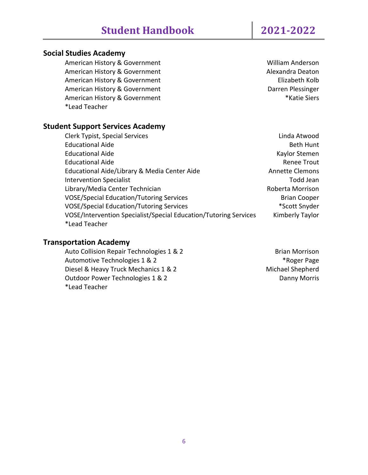# **Social Studies Academy**

American History & Government William Anderson American History & Government Alexandra Deaton American History & Government **Elizabeth Kolb** American History & Government **Darren Plessinger** Darren Plessinger American History & Government **American History & Government** \*Lead Teacher

# **Student Support Services Academy**

Clerk Typist, Special Services Linda Atwood Educational Aide **Beth Hunt** Educational Aide **Kaylor Stemen** Educational Aide Renee Trout Educational Aide/Library & Media Center Aide Annette Clemons Intervention Specialist **Todd Jean** Library/Media Center Technician **Roberta Morrison** Roberta Morrison VOSE/Special Education/Tutoring Services and American Cooper Brian Cooper VOSE/Special Education/Tutoring Services \*Scott Snyder VOSE/Intervention Specialist/Special Education/Tutoring Services Kimberly Taylor \*Lead Teacher

# **Transportation Academy**

Auto Collision Repair Technologies 1 & 2 Brian Morrison Automotive Technologies 1 & 2  $*$ Roger Page Diesel & Heavy Truck Mechanics 1 & 2 Michael Shepherd Outdoor Power Technologies 1 & 2 Danny Morris \*Lead Teacher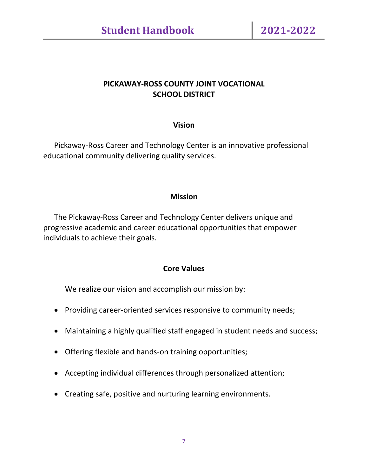# **PICKAWAY-ROSS COUNTY JOINT VOCATIONAL SCHOOL DISTRICT**

# **Vision**

Pickaway-Ross Career and Technology Center is an innovative professional educational community delivering quality services.

# **Mission**

The Pickaway-Ross Career and Technology Center delivers unique and progressive academic and career educational opportunities that empower individuals to achieve their goals.

# **Core Values**

We realize our vision and accomplish our mission by:

- Providing career-oriented services responsive to community needs;
- Maintaining a highly qualified staff engaged in student needs and success;
- Offering flexible and hands-on training opportunities;
- Accepting individual differences through personalized attention;
- Creating safe, positive and nurturing learning environments.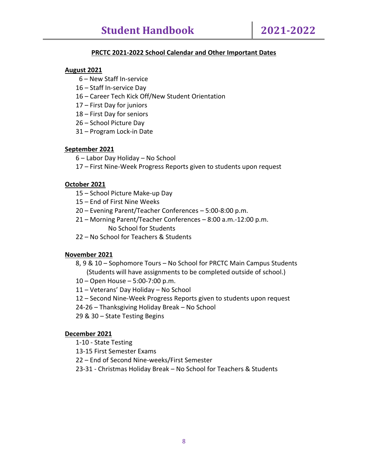#### **PRCTC 2021-2022 School Calendar and Other Important Dates**

#### **August 2021**

- 6 New Staff In-service
- 16 Staff In-service Day
- 16 Career Tech Kick Off/New Student Orientation
- 17 First Day for juniors
- 18 First Day for seniors
- 26 School Picture Day
- 31 Program Lock-in Date

#### **September 2021**

- 6 Labor Day Holiday No School
- 17 First Nine-Week Progress Reports given to students upon request

#### **October 2021**

- 15 School Picture Make-up Day
- 15 End of First Nine Weeks
- 20 Evening Parent/Teacher Conferences 5:00-8:00 p.m.
- 21 Morning Parent/Teacher Conferences 8:00 a.m.-12:00 p.m. No School for Students
- 22 No School for Teachers & Students

#### **November 2021**

- 8, 9 & 10 Sophomore Tours No School for PRCTC Main Campus Students (Students will have assignments to be completed outside of school.)
- 10 Open House 5:00-7:00 p.m.
- 11 Veterans' Day Holiday No School
- 12 Second Nine-Week Progress Reports given to students upon request
- 24-26 Thanksgiving Holiday Break No School
- 29 & 30 State Testing Begins

#### **December 2021**

- 1-10 State Testing
- 13-15 First Semester Exams
- 22 End of Second Nine-weeks/First Semester
- 23-31 Christmas Holiday Break No School for Teachers & Students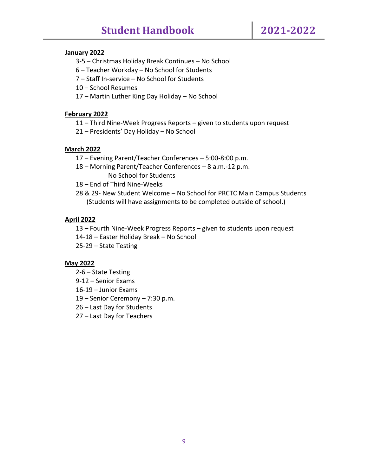#### **January 2022**

- 3-5 Christmas Holiday Break Continues No School
- 6 Teacher Workday No School for Students
- 7 Staff In-service No School for Students
- 10 School Resumes
- 17 Martin Luther King Day Holiday No School

#### **February 2022**

- 11 Third Nine-Week Progress Reports given to students upon request
- 21 Presidents' Day Holiday No School

#### **March 2022**

- 17 Evening Parent/Teacher Conferences 5:00-8:00 p.m.
- 18 Morning Parent/Teacher Conferences 8 a.m.-12 p.m. No School for Students
- 18 End of Third Nine-Weeks
- 28 & 29- New Student Welcome No School for PRCTC Main Campus Students (Students will have assignments to be completed outside of school.)

#### **April 2022**

13 – Fourth Nine-Week Progress Reports – given to students upon request

- 14-18 Easter Holiday Break No School
- 25-29 State Testing

#### **May 2022**

- 2-6 State Testing
- 9-12 Senior Exams
- 16-19 Junior Exams
- 19 Senior Ceremony 7:30 p.m.
- 26 Last Day for Students
- 27 Last Day for Teachers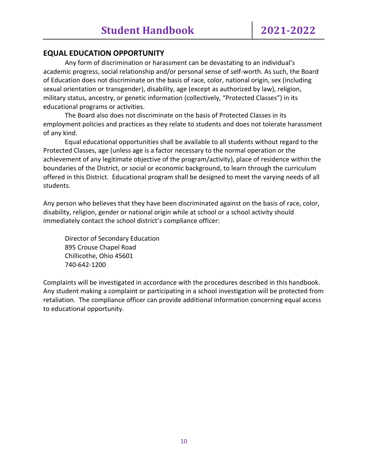# **EQUAL EDUCATION OPPORTUNITY**

Any form of discrimination or harassment can be devastating to an individual's academic progress, social relationship and/or personal sense of self-worth. As such, the Board of Education does not discriminate on the basis of race, color, national origin, sex (including sexual orientation or transgender), disability, age (except as authorized by law), religion, military status, ancestry, or genetic information (collectively, "Protected Classes") in its educational programs or activities.

The Board also does not discriminate on the basis of Protected Classes in its employment policies and practices as they relate to students and does not tolerate harassment of any kind.

Equal educational opportunities shall be available to all students without regard to the Protected Classes, age (unless age is a factor necessary to the normal operation or the achievement of any legitimate objective of the program/activity), place of residence within the boundaries of the District, or social or economic background, to learn through the curriculum offered in this District. Educational program shall be designed to meet the varying needs of all students.

Any person who believes that they have been discriminated against on the basis of race, color, disability, religion, gender or national origin while at school or a school activity should immediately contact the school district's compliance officer:

Director of Secondary Education 895 Crouse Chapel Road Chillicothe, Ohio 45601 740-642-1200

Complaints will be investigated in accordance with the procedures described in this handbook. Any student making a complaint or participating in a school investigation will be protected from retaliation. The compliance officer can provide additional information concerning equal access to educational opportunity.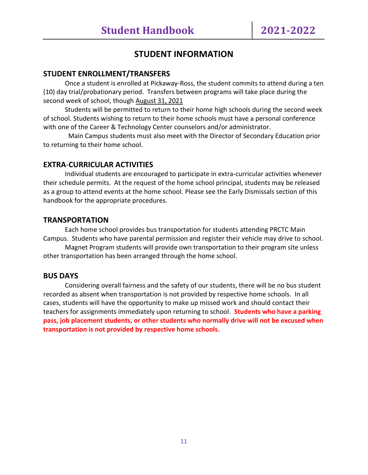# **STUDENT INFORMATION**

#### **STUDENT ENROLLMENT/TRANSFERS**

Once a student is enrolled at Pickaway-Ross, the student commits to attend during a ten (10) day trial/probationary period. Transfers between programs will take place during the second week of school, though August 31, 2021

Students will be permitted to return to their home high schools during the second week of school. Students wishing to return to their home schools must have a personal conference with one of the Career & Technology Center counselors and/or administrator.

 Main Campus students must also meet with the Director of Secondary Education prior to returning to their home school.

# **EXTRA**-**CURRICULAR ACTIVITIES**

Individual students are encouraged to participate in extra-curricular activities whenever their schedule permits. At the request of the home school principal, students may be released as a group to attend events at the home school. Please see the Early Dismissals section of this handbook for the appropriate procedures.

#### **TRANSPORTATION**

Each home school provides bus transportation for students attending PRCTC Main Campus. Students who have parental permission and register their vehicle may drive to school.

Magnet Program students will provide own transportation to their program site unless other transportation has been arranged through the home school.

#### **BUS DAYS**

Considering overall fairness and the safety of our students, there will be no bus student recorded as absent when transportation is not provided by respective home schools. In all cases, students will have the opportunity to make up missed work and should contact their teachers for assignments immediately upon returning to school. **Students who have a parking pass, job placement students, or other students who normally drive will not be excused when transportation is not provided by respective home schools.**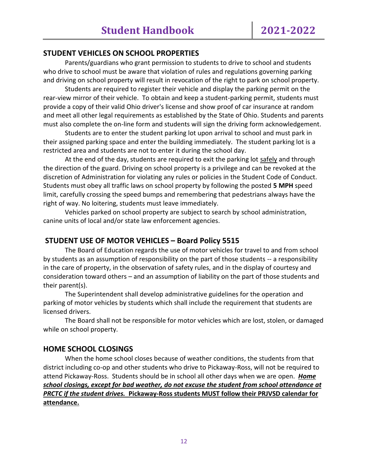# **STUDENT VEHICLES ON SCHOOL PROPERTIES**

Parents/guardians who grant permission to students to drive to school and students who drive to school must be aware that violation of rules and regulations governing parking and driving on school property will result in revocation of the right to park on school property.

Students are required to register their vehicle and display the parking permit on the rear-view mirror of their vehicle. To obtain and keep a student-parking permit, students must provide a copy of their valid Ohio driver's license and show proof of car insurance at random and meet all other legal requirements as established by the State of Ohio. Students and parents must also complete the on-line form and students will sign the driving form acknowledgement.

Students are to enter the student parking lot upon arrival to school and must park in their assigned parking space and enter the building immediately. The student parking lot is a restricted area and students are not to enter it during the school day.

At the end of the day, students are required to exit the parking lot safely and through the direction of the guard. Driving on school property is a privilege and can be revoked at the discretion of Administration for violating any rules or policies in the Student Code of Conduct. Students must obey all traffic laws on school property by following the posted **5 MPH** speed limit, carefully crossing the speed bumps and remembering that pedestrians always have the right of way. No loitering, students must leave immediately.

Vehicles parked on school property are subject to search by school administration, canine units of local and/or state law enforcement agencies.

# **STUDENT USE OF MOTOR VEHICLES – Board Policy 5515**

The Board of Education regards the use of motor vehicles for travel to and from school by students as an assumption of responsibility on the part of those students -- a responsibility in the care of property, in the observation of safety rules, and in the display of courtesy and consideration toward others – and an assumption of liability on the part of those students and their parent(s).

The Superintendent shall develop administrative guidelines for the operation and parking of motor vehicles by students which shall include the requirement that students are licensed drivers.

The Board shall not be responsible for motor vehicles which are lost, stolen, or damaged while on school property.

# **HOME SCHOOL CLOSINGS**

When the home school closes because of weather conditions, the students from that district including co-op and other students who drive to Pickaway-Ross, will not be required to attend Pickaway-Ross. Students should be in school all other days when we are open. *Home school closings, except for bad weather, do not excuse the student from school attendance at PRCTC if the student drives.* **Pickaway-Ross students MUST follow their PRJVSD calendar for attendance.**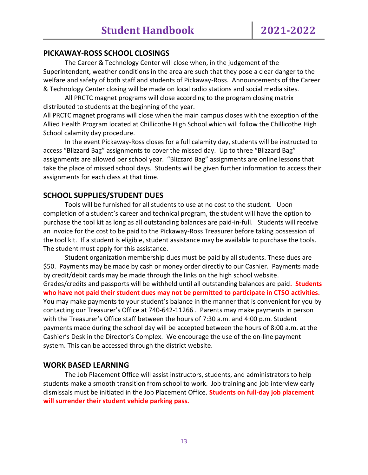# **PICKAWAY-ROSS SCHOOL CLOSINGS**

The Career & Technology Center will close when, in the judgement of the Superintendent, weather conditions in the area are such that they pose a clear danger to the welfare and safety of both staff and students of Pickaway-Ross. Announcements of the Career & Technology Center closing will be made on local radio stations and social media sites.

All PRCTC magnet programs will close according to the program closing matrix distributed to students at the beginning of the year.

All PRCTC magnet programs will close when the main campus closes with the exception of the Allied Health Program located at Chillicothe High School which will follow the Chillicothe High School calamity day procedure.

In the event Pickaway-Ross closes for a full calamity day, students will be instructed to access "Blizzard Bag" assignments to cover the missed day. Up to three "Blizzard Bag" assignments are allowed per school year. "Blizzard Bag" assignments are online lessons that take the place of missed school days. Students will be given further information to access their assignments for each class at that time.

# **SCHOOL SUPPLIES/STUDENT DUES**

Tools will be furnished for all students to use at no cost to the student. Upon completion of a student's career and technical program, the student will have the option to purchase the tool kit as long as all outstanding balances are paid-in-full. Students will receive an invoice for the cost to be paid to the Pickaway-Ross Treasurer before taking possession of the tool kit. If a student is eligible, student assistance may be available to purchase the tools. The student must apply for this assistance.

Student organization membership dues must be paid by all students. These dues are \$50. Payments may be made by cash or money order directly to our Cashier. Payments made by credit/debit cards may be made through the links on the high school website. Grades/credits and passports will be withheld until all outstanding balances are paid**. Students who have not paid their student dues may not be permitted to participate in CTSO activities.** You may make payments to your student's balance in the manner that is convenient for you by contacting our Treasurer's Office at 740-642-11266 . Parents may make payments in person with the Treasurer's Office staff between the hours of 7:30 a.m. and 4:00 p.m. Student payments made during the school day will be accepted between the hours of 8:00 a.m. at the Cashier's Desk in the Director's Complex. We encourage the use of the on-line payment system. This can be accessed through the district website.

#### **WORK BASED LEARNING**

The Job Placement Office will assist instructors, students, and administrators to help students make a smooth transition from school to work. Job training and job interview early dismissals must be initiated in the Job Placement Office. **Students on full-day job placement will surrender their student vehicle parking pass.**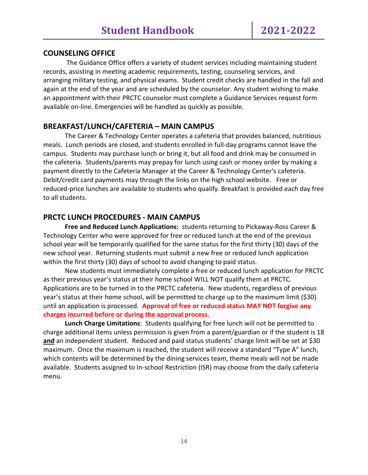# **COUNSELING OFFICE**

The Guidance Office offers a variety of student services including maintaining student records, assisting in meeting academic requirements, testing, counseling services, and arranging military testing, and physical exams. Student credit checks are handled in the fall and again at the end of the year and are scheduled by the counselor. Any student wishing to make an appointment with their PRCTC counselor must complete a Guidance Services request form available on-line. Emergencies will be handled as quickly as possible.

# **BREAKFAST/LUNCH/CAFETERIA – MAIN CAMPUS**

The Career & Technology Center operates a cafeteria that provides balanced, nutritious meals. Lunch periods are closed, and students enrolled in full-day programs cannot leave the campus. Students may purchase lunch or bring it, but all food and drink may be consumed in the cafeteria. Students/parents may prepay for lunch using cash or money order by making a payment directly to the Cafeteria Manager at the Career & Technology Center's cafeteria. Debit/credit card payments may through the links on the high school website. Free or reduced-price lunches are available to students who qualify. Breakfast is provided each day free to all students.

# **PRCTC LUNCH PROCEDURES - MAIN CAMPUS**

**Free and Reduced Lunch Applications:** students returning to Pickaway-Ross Career & Technology Center who were approved for free or reduced lunch at the end of the previous school year will be temporarily qualified for the same status for the first thirty (30) days of the new school year. Returning students must submit a new free or reduced lunch application within the first thirty (30) days of school to avoid changing to paid status.

New students must immediately complete a free or reduced lunch application for PRCTC as their previous year's status at their home school WILL NOT qualify them at PRCTC. Applications are to be turned in to the PRCTC cafeteria. New students, regardless of previous year's status at their home school, will be permitted to charge up to the maximum limit (\$30) until an application is processed. **Approval of free or reduced status MAY NOT forgive any charges incurred before or during the approval process.**

**Lunch Charge Limitations**: Students qualifying for free lunch will not be permitted to charge additional items unless permission is given from a parent/guardian or if the student is 18 **and** an independent student. Reduced and paid status students' charge limit will be set at \$30 maximum. Once the maximum is reached, the student will receive a standard "Type A" lunch, which contents will be determined by the dining services team, theme meals will not be made available. Students assigned to In-school Restriction (ISR) may choose from the daily cafeteria menu.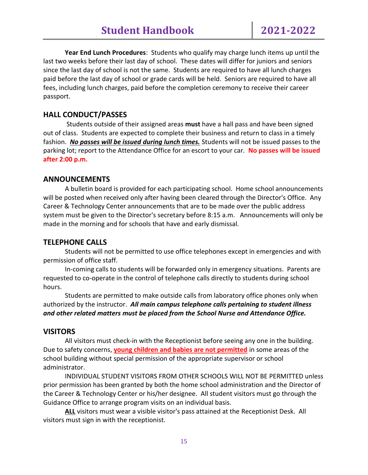**Year End Lunch Procedures**: Students who qualify may charge lunch items up until the last two weeks before their last day of school. These dates will differ for juniors and seniors since the last day of school is not the same. Students are required to have all lunch charges paid before the last day of school or grade cards will be held. Seniors are required to have all fees, including lunch charges, paid before the completion ceremony to receive their career passport.

# **HALL CONDUCT/PASSES**

Students outside of their assigned areas **must** have a hall pass and have been signed out of class. Students are expected to complete their business and return to class in a timely fashion. *No passes will be issued during lunch times.* Students will not be issued passes to the parking lot; report to the Attendance Office for an escort to your car. **No passes will be issued after 2:00 p.m.**

#### **ANNOUNCEMENTS**

A bulletin board is provided for each participating school. Home school announcements will be posted when received only after having been cleared through the Director's Office. Any Career & Technology Center announcements that are to be made over the public address system must be given to the Director's secretary before 8:15 a.m. Announcements will only be made in the morning and for schools that have and early dismissal.

# **TELEPHONE CALLS**

Students will not be permitted to use office telephones except in emergencies and with permission of office staff.

In-coming calls to students will be forwarded only in emergency situations. Parents are requested to co-operate in the control of telephone calls directly to students during school hours.

Students are permitted to make outside calls from laboratory office phones only when authorized by the instructor. *All main campus telephone calls pertaining to student illness and other related matters must be placed from the School Nurse and Attendance Office.*

#### **VISITORS**

All visitors must check-in with the Receptionist before seeing any one in the building. Due to safety concerns, **young children and babies are not permitted** in some areas of the school building without special permission of the appropriate supervisor or school administrator.

INDIVIDUAL STUDENT VISITORS FROM OTHER SCHOOLS WILL NOT BE PERMITTED unless prior permission has been granted by both the home school administration and the Director of the Career & Technology Center or his/her designee. All student visitors must go through the Guidance Office to arrange program visits on an individual basis.

**ALL** visitors must wear a visible visitor's pass attained at the Receptionist Desk. All visitors must sign in with the receptionist.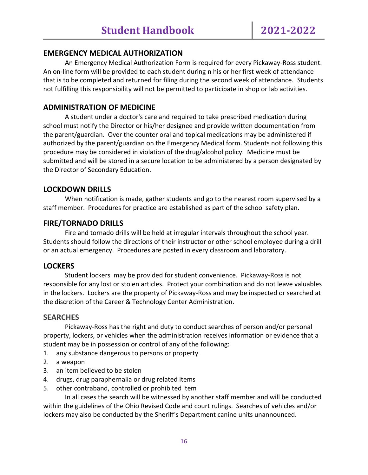# **EMERGENCY MEDICAL AUTHORIZATION**

An Emergency Medical Authorization Form is required for every Pickaway-Ross student. An on-line form will be provided to each student during n his or her first week of attendance that is to be completed and returned for filing during the second week of attendance. Students not fulfilling this responsibility will not be permitted to participate in shop or lab activities.

# **ADMINISTRATION OF MEDICINE**

A student under a doctor's care and required to take prescribed medication during school must notify the Director or his/her designee and provide written documentation from the parent/guardian. Over the counter oral and topical medications may be administered if authorized by the parent/guardian on the Emergency Medical form. Students not following this procedure may be considered in violation of the drug/alcohol policy. Medicine must be submitted and will be stored in a secure location to be administered by a person designated by the Director of Secondary Education.

# **LOCKDOWN DRILLS**

When notification is made, gather students and go to the nearest room supervised by a staff member. Procedures for practice are established as part of the school safety plan.

# **FIRE/TORNADO DRILLS**

Fire and tornado drills will be held at irregular intervals throughout the school year. Students should follow the directions of their instructor or other school employee during a drill or an actual emergency. Procedures are posted in every classroom and laboratory.

# **LOCKERS**

Student lockers may be provided for student convenience. Pickaway-Ross is not responsible for any lost or stolen articles. Protect your combination and do not leave valuables in the lockers. Lockers are the property of Pickaway-Ross and may be inspected or searched at the discretion of the Career & Technology Center Administration.

# **SEARCHES**

Pickaway-Ross has the right and duty to conduct searches of person and/or personal property, lockers, or vehicles when the administration receives information or evidence that a student may be in possession or control of any of the following:

- 1. any substance dangerous to persons or property
- 2. a weapon
- 3. an item believed to be stolen
- 4. drugs, drug paraphernalia or drug related items
- 5. other contraband, controlled or prohibited item

In all cases the search will be witnessed by another staff member and will be conducted within the guidelines of the Ohio Revised Code and court rulings. Searches of vehicles and/or lockers may also be conducted by the Sheriff's Department canine units unannounced.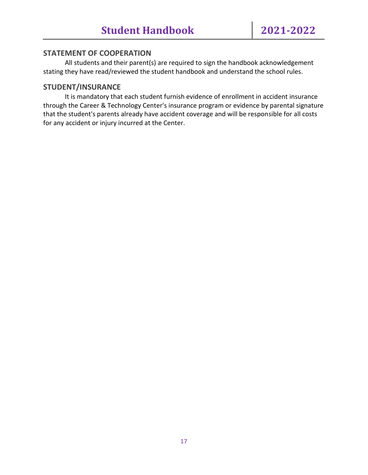# **STATEMENT OF COOPERATION**

All students and their parent(s) are required to sign the handbook acknowledgement stating they have read/reviewed the student handbook and understand the school rules.

# **STUDENT/INSURANCE**

It is mandatory that each student furnish evidence of enrollment in accident insurance through the Career & Technology Center's insurance program or evidence by parental signature that the student's parents already have accident coverage and will be responsible for all costs for any accident or injury incurred at the Center.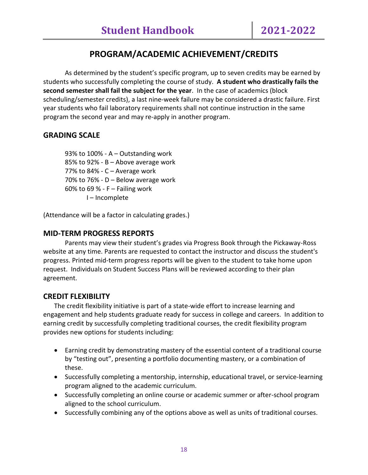# **PROGRAM/ACADEMIC ACHIEVEMENT/CREDITS**

As determined by the student's specific program, up to seven credits may be earned by students who successfully completing the course of study. **A student who drastically fails the second semester shall fail the subject for the year**. In the case of academics (block scheduling/semester credits), a last nine-week failure may be considered a drastic failure. First year students who fail laboratory requirements shall not continue instruction in the same program the second year and may re-apply in another program.

# **GRADING SCALE**

93% to 100% - A – Outstanding work 85% to 92% - B – Above average work 77% to 84% - C – Average work 70% to 76% - D – Below average work 60% to 69 % - F – Failing work I – Incomplete

(Attendance will be a factor in calculating grades.)

# **MID-TERM PROGRESS REPORTS**

Parents may view their student's grades via Progress Book through the Pickaway-Ross website at any time. Parents are requested to contact the instructor and discuss the student's progress. Printed mid-term progress reports will be given to the student to take home upon request. Individuals on Student Success Plans will be reviewed according to their plan agreement.

# **CREDIT FLEXIBILITY**

The credit flexibility initiative is part of a state-wide effort to increase learning and engagement and help students graduate ready for success in college and careers. In addition to earning credit by successfully completing traditional courses, the credit flexibility program provides new options for students including:

- Earning credit by demonstrating mastery of the essential content of a traditional course by "testing out", presenting a portfolio documenting mastery, or a combination of these.
- Successfully completing a mentorship, internship, educational travel, or service-learning program aligned to the academic curriculum.
- Successfully completing an online course or academic summer or after-school program aligned to the school curriculum.
- Successfully combining any of the options above as well as units of traditional courses.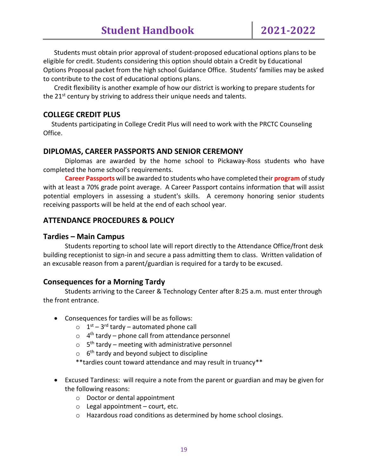Students must obtain prior approval of student-proposed educational options plans to be eligible for credit. Students considering this option should obtain a Credit by Educational Options Proposal packet from the high school Guidance Office. Students' families may be asked to contribute to the cost of educational options plans.

Credit flexibility is another example of how our district is working to prepare students for the 21<sup>st</sup> century by striving to address their unique needs and talents.

# **COLLEGE CREDIT PLUS**

 Students participating in College Credit Plus will need to work with the PRCTC Counseling Office.

# **DIPLOMAS, CAREER PASSPORTS AND SENIOR CEREMONY**

Diplomas are awarded by the home school to Pickaway-Ross students who have completed the home school's requirements.

**Career Passports** will be awarded to students who have completed their **program** of study with at least a 70% grade point average. A Career Passport contains information that will assist potential employers in assessing a student's skills. A ceremony honoring senior students receiving passports will be held at the end of each school year.

# **ATTENDANCE PROCEDURES & POLICY**

# **Tardies – Main Campus**

Students reporting to school late will report directly to the Attendance Office/front desk building receptionist to sign-in and secure a pass admitting them to class. Written validation of an excusable reason from a parent/guardian is required for a tardy to be excused.

# **Consequences for a Morning Tardy**

Students arriving to the Career & Technology Center after 8:25 a.m. must enter through the front entrance.

- Consequences for tardies will be as follows:
	- $\circ$  1<sup>st</sup> 3<sup>rd</sup> tardy automated phone call
	- $\circ$  4<sup>th</sup> tardy phone call from attendance personnel
	- $\circ$  5<sup>th</sup> tardy meeting with administrative personnel
	- $\circ$  6<sup>th</sup> tardy and beyond subject to discipline
	- \*\*tardies count toward attendance and may result in truancy\*\*
- Excused Tardiness: will require a note from the parent or guardian and may be given for the following reasons:
	- o Doctor or dental appointment
	- $\circ$  Legal appointment court, etc.
	- o Hazardous road conditions as determined by home school closings.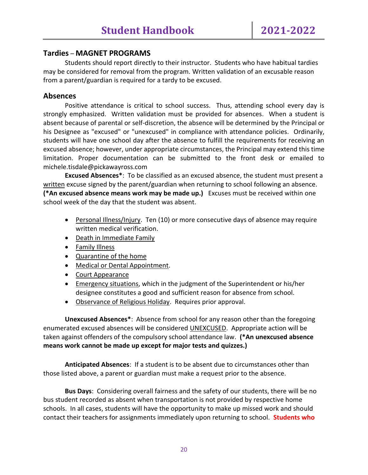# **Tardies** – **MAGNET PROGRAMS**

Students should report directly to their instructor. Students who have habitual tardies may be considered for removal from the program. Written validation of an excusable reason from a parent/guardian is required for a tardy to be excused.

# **Absences**

Positive attendance is critical to school success. Thus, attending school every day is strongly emphasized. Written validation must be provided for absences. When a student is absent because of parental or self-discretion, the absence will be determined by the Principal or his Designee as "excused" or "unexcused" in compliance with attendance policies. Ordinarily, students will have one school day after the absence to fulfill the requirements for receiving an excused absence; however, under appropriate circumstances, the Principal may extend this time limitation. Proper documentation can be submitted to the front desk or emailed to michele.tisdale@pickawayross.com

**Excused Absences\***: To be classified as an excused absence, the student must present a written excuse signed by the parent/guardian when returning to school following an absence. **(\*An excused absence means work may be made up.)** Excuses must be received within one school week of the day that the student was absent.

- Personal Illness/Injury. Ten (10) or more consecutive days of absence may require written medical verification.
- Death in Immediate Family
- Family Illness
- Quarantine of the home
- Medical or Dental Appointment.
- Court Appearance
- Emergency situations, which in the judgment of the Superintendent or his/her designee constitutes a good and sufficient reason for absence from school.
- Observance of Religious Holiday. Requires prior approval.

**Unexcused Absences\***: Absence from school for any reason other than the foregoing enumerated excused absences will be considered UNEXCUSED. Appropriate action will be taken against offenders of the compulsory school attendance law. **(\*An unexcused absence means work cannot be made up except for major tests and quizzes.)** 

**Anticipated Absences**: If a student is to be absent due to circumstances other than those listed above, a parent or guardian must make a request prior to the absence.

**Bus Days**: Considering overall fairness and the safety of our students, there will be no bus student recorded as absent when transportation is not provided by respective home schools. In all cases, students will have the opportunity to make up missed work and should contact their teachers for assignments immediately upon returning to school. **Students who**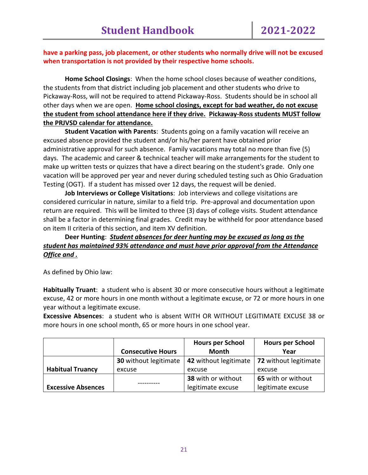#### **have a parking pass, job placement, or other students who normally drive will not be excused when transportation is not provided by their respective home schools.**

**Home School Closings**: When the home school closes because of weather conditions, the students from that district including job placement and other students who drive to Pickaway-Ross, will not be required to attend Pickaway-Ross. Students should be in school all other days when we are open. **Home school closings, except for bad weather, do not excuse the student from school attendance here if they drive. Pickaway-Ross students MUST follow the PRJVSD calendar for attendance.**

**Student Vacation with Parents**: Students going on a family vacation will receive an excused absence provided the student and/or his/her parent have obtained prior administrative approval for such absence. Family vacations may total no more than five (5) days. The academic and career & technical teacher will make arrangements for the student to make up written tests or quizzes that have a direct bearing on the student's grade. Only one vacation will be approved per year and never during scheduled testing such as Ohio Graduation Testing (OGT). If a student has missed over 12 days, the request will be denied.

**Job Interviews or College Visitations**: Job interviews and college visitations are considered curricular in nature, similar to a field trip. Pre-approval and documentation upon return are required. This will be limited to three (3) days of college visits. Student attendance shall be a factor in determining final grades. Credit may be withheld for poor attendance based on item II criteria of this section, and item XV definition.

# **Deer Hunting**: *Student absences for deer hunting may be excused as long as the student has maintained 93% attendance and must have prior approval from the Attendance Office and .*

As defined by Ohio law:

**Habitually Truant**: a student who is absent 30 or more consecutive hours without a legitimate excuse, 42 or more hours in one month without a legitimate excuse, or 72 or more hours in one year without a legitimate excuse.

**Excessive Absences**: a student who is absent WITH OR WITHOUT LEGITIMATE EXCUSE 38 or more hours in one school month, 65 or more hours in one school year.

|                           |                              | <b>Hours per School</b> | <b>Hours per School</b> |
|---------------------------|------------------------------|-------------------------|-------------------------|
|                           | <b>Consecutive Hours</b>     | Month                   | Year                    |
|                           | <b>30</b> without legitimate | 42 without legitimate   | 72 without legitimate   |
| <b>Habitual Truancy</b>   | excuse                       | excuse                  | excuse                  |
|                           |                              | 38 with or without      | 65 with or without      |
| <b>Excessive Absences</b> |                              | legitimate excuse       | legitimate excuse       |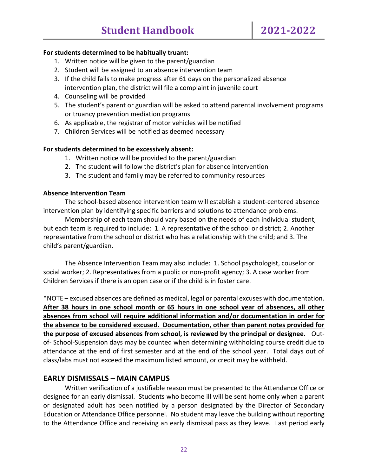#### **For students determined to be habitually truant:**

- 1. Written notice will be given to the parent/guardian
- 2. Student will be assigned to an absence intervention team
- 3. If the child fails to make progress after 61 days on the personalized absence intervention plan, the district will file a complaint in juvenile court
- 4. Counseling will be provided
- 5. The student's parent or guardian will be asked to attend parental involvement programs or truancy prevention mediation programs
- 6. As applicable, the registrar of motor vehicles will be notified
- 7. Children Services will be notified as deemed necessary

#### **For students determined to be excessively absent:**

- 1. Written notice will be provided to the parent/guardian
- 2. The student will follow the district's plan for absence intervention
- 3. The student and family may be referred to community resources

#### **Absence Intervention Team**

The school-based absence intervention team will establish a student-centered absence intervention plan by identifying specific barriers and solutions to attendance problems.

Membership of each team should vary based on the needs of each individual student, but each team is required to include: 1. A representative of the school or district; 2. Another representative from the school or district who has a relationship with the child; and 3. The child's parent/guardian.

The Absence Intervention Team may also include: 1. School psychologist, couselor or social worker; 2. Representatives from a public or non-profit agency; 3. A case worker from Children Services if there is an open case or if the child is in foster care.

\*NOTE – excused absences are defined as medical, legal or parental excuses with documentation. **After 38 hours in one school month or 65 hours in one school year of absences, all other absences from school will require additional information and/or documentation in order for the absence to be considered excused. Documentation, other than parent notes provided for the purpose of excused absences from school, is reviewed by the principal or designee.** Outof- School-Suspension days may be counted when determining withholding course credit due to attendance at the end of first semester and at the end of the school year. Total days out of class/labs must not exceed the maximum listed amount, or credit may be withheld.

# **EARLY DISMISSALS – MAIN CAMPUS**

Written verification of a justifiable reason must be presented to the Attendance Office or designee for an early dismissal. Students who become ill will be sent home only when a parent or designated adult has been notified by a person designated by the Director of Secondary Education or Attendance Office personnel. No student may leave the building without reporting to the Attendance Office and receiving an early dismissal pass as they leave. Last period early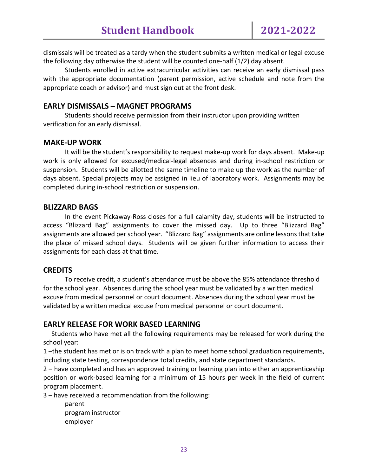dismissals will be treated as a tardy when the student submits a written medical or legal excuse the following day otherwise the student will be counted one-half (1/2) day absent.

Students enrolled in active extracurricular activities can receive an early dismissal pass with the appropriate documentation (parent permission, active schedule and note from the appropriate coach or advisor) and must sign out at the front desk.

# **EARLY DISMISSALS – MAGNET PROGRAMS**

Students should receive permission from their instructor upon providing written verification for an early dismissal.

# **MAKE-UP WORK**

It will be the student's responsibility to request make-up work for days absent. Make-up work is only allowed for excused/medical-legal absences and during in-school restriction or suspension. Students will be allotted the same timeline to make up the work as the number of days absent. Special projects may be assigned in lieu of laboratory work. Assignments may be completed during in-school restriction or suspension.

#### **BLIZZARD BAGS**

In the event Pickaway-Ross closes for a full calamity day, students will be instructed to access "Blizzard Bag" assignments to cover the missed day. Up to three "Blizzard Bag" assignments are allowed per school year. "Blizzard Bag" assignments are online lessons that take the place of missed school days. Students will be given further information to access their assignments for each class at that time.

# **CREDITS**

To receive credit, a student's attendance must be above the 85% attendance threshold for the school year. Absences during the school year must be validated by a written medical excuse from medical personnel or court document. Absences during the school year must be validated by a written medical excuse from medical personnel or court document.

# **EARLY RELEASE FOR WORK BASED LEARNING**

 Students who have met all the following requirements may be released for work during the school year:

1 –the student has met or is on track with a plan to meet home school graduation requirements, including state testing, correspondence total credits, and state department standards.

2 – have completed and has an approved training or learning plan into either an apprenticeship position or work-based learning for a minimum of 15 hours per week in the field of current program placement.

3 – have received a recommendation from the following:

parent program instructor employer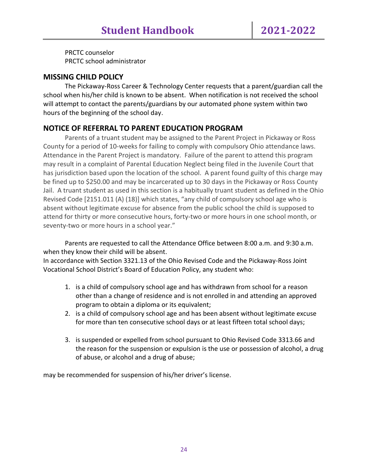PRCTC counselor PRCTC school administrator

# **MISSING CHILD POLICY**

The Pickaway-Ross Career & Technology Center requests that a parent/guardian call the school when his/her child is known to be absent. When notification is not received the school will attempt to contact the parents/guardians by our automated phone system within two hours of the beginning of the school day.

# **NOTICE OF REFERRAL TO PARENT EDUCATION PROGRAM**

Parents of a truant student may be assigned to the Parent Project in Pickaway or Ross County for a period of 10-weeks for failing to comply with compulsory Ohio attendance laws. Attendance in the Parent Project is mandatory. Failure of the parent to attend this program may result in a complaint of Parental Education Neglect being filed in the Juvenile Court that has jurisdiction based upon the location of the school. A parent found guilty of this charge may be fined up to \$250.00 and may be incarcerated up to 30 days in the Pickaway or Ross County Jail. A truant student as used in this section is a habitually truant student as defined in the Ohio Revised Code [2151.011 (A) (18)] which states, "any child of compulsory school age who is absent without legitimate excuse for absence from the public school the child is supposed to attend for thirty or more consecutive hours, forty-two or more hours in one school month, or seventy-two or more hours in a school year."

Parents are requested to call the Attendance Office between 8:00 a.m. and 9:30 a.m. when they know their child will be absent.

In accordance with Section 3321.13 of the Ohio Revised Code and the Pickaway-Ross Joint Vocational School District's Board of Education Policy, any student who:

- 1. is a child of compulsory school age and has withdrawn from school for a reason other than a change of residence and is not enrolled in and attending an approved program to obtain a diploma or its equivalent;
- 2. is a child of compulsory school age and has been absent without legitimate excuse for more than ten consecutive school days or at least fifteen total school days;
- 3. is suspended or expelled from school pursuant to Ohio Revised Code 3313.66 and the reason for the suspension or expulsion is the use or possession of alcohol, a drug of abuse, or alcohol and a drug of abuse;

may be recommended for suspension of his/her driver's license.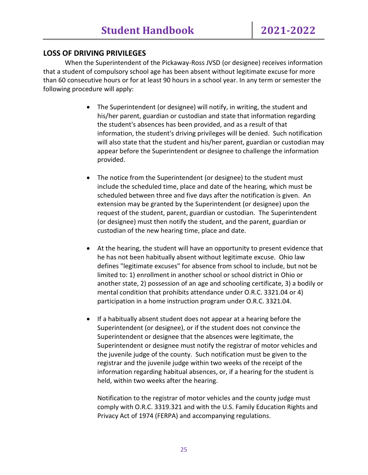# **LOSS OF DRIVING PRIVILEGES**

When the Superintendent of the Pickaway-Ross JVSD (or designee) receives information that a student of compulsory school age has been absent without legitimate excuse for more than 60 consecutive hours or for at least 90 hours in a school year. In any term or semester the following procedure will apply:

- The Superintendent (or designee) will notify, in writing, the student and his/her parent, guardian or custodian and state that information regarding the student's absences has been provided, and as a result of that information, the student's driving privileges will be denied. Such notification will also state that the student and his/her parent, guardian or custodian may appear before the Superintendent or designee to challenge the information provided.
- The notice from the Superintendent (or designee) to the student must include the scheduled time, place and date of the hearing, which must be scheduled between three and five days after the notification is given. An extension may be granted by the Superintendent (or designee) upon the request of the student, parent, guardian or custodian. The Superintendent (or designee) must then notify the student, and the parent, guardian or custodian of the new hearing time, place and date.
- At the hearing, the student will have an opportunity to present evidence that he has not been habitually absent without legitimate excuse. Ohio law defines "legitimate excuses" for absence from school to include, but not be limited to: 1) enrollment in another school or school district in Ohio or another state, 2) possession of an age and schooling certificate, 3) a bodily or mental condition that prohibits attendance under O.R.C. 3321.04 or 4) participation in a home instruction program under O.R.C. 3321.04.
- If a habitually absent student does not appear at a hearing before the Superintendent (or designee), or if the student does not convince the Superintendent or designee that the absences were legitimate, the Superintendent or designee must notify the registrar of motor vehicles and the juvenile judge of the county. Such notification must be given to the registrar and the juvenile judge within two weeks of the receipt of the information regarding habitual absences, or, if a hearing for the student is held, within two weeks after the hearing.

Notification to the registrar of motor vehicles and the county judge must comply with O.R.C. 3319.321 and with the U.S. Family Education Rights and Privacy Act of 1974 (FERPA) and accompanying regulations.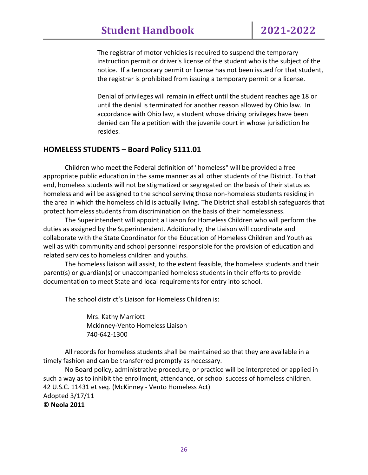The registrar of motor vehicles is required to suspend the temporary instruction permit or driver's license of the student who is the subject of the notice. If a temporary permit or license has not been issued for that student, the registrar is prohibited from issuing a temporary permit or a license.

Denial of privileges will remain in effect until the student reaches age 18 or until the denial is terminated for another reason allowed by Ohio law. In accordance with Ohio law, a student whose driving privileges have been denied can file a petition with the juvenile court in whose jurisdiction he resides.

# **HOMELESS STUDENTS – Board Policy 5111.01**

Children who meet the Federal definition of "homeless" will be provided a free appropriate public education in the same manner as all other students of the District. To that end, homeless students will not be stigmatized or segregated on the basis of their status as homeless and will be assigned to the school serving those non-homeless students residing in the area in which the homeless child is actually living*.* The District shall establish safeguards that protect homeless students from discrimination on the basis of their homelessness.

The Superintendent will appoint a Liaison for Homeless Children who will perform the duties as assigned by the Superintendent. Additionally, the Liaison will coordinate and collaborate with the State Coordinator for the Education of Homeless Children and Youth as well as with community and school personnel responsible for the provision of education and related services to homeless children and youths.

The homeless liaison will assist, to the extent feasible, the homeless students and their parent(s) or guardian(s) or unaccompanied homeless students in their efforts to provide documentation to meet State and local requirements for entry into school.

The school district's Liaison for Homeless Children is:

Mrs. Kathy Marriott Mckinney-Vento Homeless Liaison 740-642-1300

All records for homeless students shall be maintained so that they are available in a timely fashion and can be transferred promptly as necessary.

No Board policy, administrative procedure, or practice will be interpreted or applied in such a way as to inhibit the enrollment, attendance, or school success of homeless children. 42 U.S.C. 11431 et seq. (McKinney - Vento Homeless Act) Adopted 3/17/11 **© Neola 2011**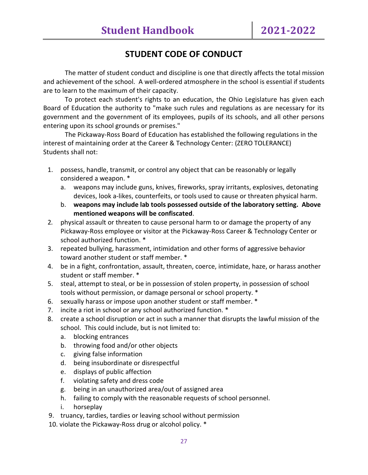# **STUDENT CODE OF CONDUCT**

The matter of student conduct and discipline is one that directly affects the total mission and achievement of the school. A well-ordered atmosphere in the school is essential if students are to learn to the maximum of their capacity.

To protect each student's rights to an education, the Ohio Legislature has given each Board of Education the authority to "make such rules and regulations as are necessary for its government and the government of its employees, pupils of its schools, and all other persons entering upon its school grounds or premises."

The Pickaway-Ross Board of Education has established the following regulations in the interest of maintaining order at the Career & Technology Center: (ZERO TOLERANCE) Students shall not:

- 1. possess, handle, transmit, or control any object that can be reasonably or legally considered a weapon. \*
	- a. weapons may include guns, knives, fireworks, spray irritants, explosives, detonating devices, look a-likes, counterfeits, or tools used to cause or threaten physical harm.
	- b. **weapons may include lab tools possessed outside of the laboratory setting. Above mentioned weapons will be confiscated**.
- 2*.* physical assault or threaten to cause personal harm to or damage the property of any Pickaway-Ross employee or visitor at the Pickaway-Ross Career & Technology Center or school authorized function. \*
- 3. repeated bullying, harassment, intimidation and other forms of aggressive behavior toward another student or staff member. \*
- 4. be in a fight, confrontation, assault, threaten, coerce, intimidate, haze, or harass another student or staff member. \*
- 5. steal, attempt to steal, or be in possession of stolen property, in possession of school tools without permission, or damage personal or school property. \*
- 6. sexually harass or impose upon another student or staff member. \*
- 7. incite a riot in school or any school authorized function. \*
- 8. create a school disruption or act in such a manner that disrupts the lawful mission of the school. This could include, but is not limited to:
	- a. blocking entrances
	- b. throwing food and/or other objects
	- c. giving false information
	- d. being insubordinate or disrespectful
	- e. displays of public affection
	- f. violating safety and dress code
	- g. being in an unauthorized area/out of assigned area
	- h. failing to comply with the reasonable requests of school personnel.
	- i. horseplay
- 9. truancy, tardies, tardies or leaving school without permission
- 10. violate the Pickaway-Ross drug or alcohol policy. \*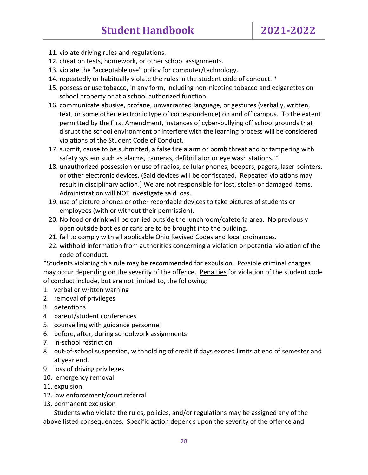- 11. violate driving rules and regulations.
- 12. cheat on tests, homework, or other school assignments.
- 13. violate the "acceptable use" policy for computer/technology.
- 14. repeatedly or habitually violate the rules in the student code of conduct. \*
- 15. possess or use tobacco, in any form, including non-nicotine tobacco and ecigarettes on school property or at a school authorized function.
- 16. communicate abusive, profane, unwarranted language, or gestures (verbally, written, text, or some other electronic type of correspondence) on and off campus. To the extent permitted by the First Amendment, instances of cyber-bullying off school grounds that disrupt the school environment or interfere with the learning process will be considered violations of the Student Code of Conduct.
- 17. submit, cause to be submitted, a false fire alarm or bomb threat and or tampering with safety system such as alarms, cameras, defibrillator or eye wash stations. \*
- 18. unauthorized possession or use of radios, cellular phones, beepers, pagers, laser pointers, or other electronic devices. (Said devices will be confiscated. Repeated violations may result in disciplinary action.) We are not responsible for lost, stolen or damaged items. Administration will NOT investigate said loss.
- 19. use of picture phones or other recordable devices to take pictures of students or employees (with or without their permission).
- 20. No food or drink will be carried outside the lunchroom/cafeteria area. No previously open outside bottles or cans are to be brought into the building.
- 21. fail to comply with all applicable Ohio Revised Codes and local ordinances.
- 22. withhold information from authorities concerning a violation or potential violation of the code of conduct.

\*Students violating this rule may be recommended for expulsion. Possible criminal charges may occur depending on the severity of the offence. Penalties for violation of the student code of conduct include, but are not limited to, the following:

- 1. verbal or written warning
- 2. removal of privileges
- 3. detentions
- 4. parent/student conferences
- 5. counselling with guidance personnel
- 6. before, after, during schoolwork assignments
- 7. in-school restriction
- 8. out-of-school suspension, withholding of credit if days exceed limits at end of semester and at year end.
- 9. loss of driving privileges
- 10. emergency removal
- 11. expulsion
- 12. law enforcement/court referral
- 13. permanent exclusion

Students who violate the rules, policies, and/or regulations may be assigned any of the above listed consequences. Specific action depends upon the severity of the offence and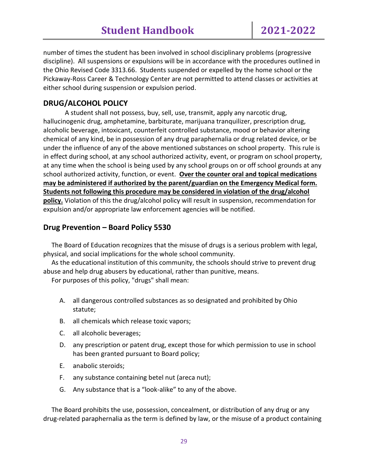number of times the student has been involved in school disciplinary problems (progressive discipline). All suspensions or expulsions will be in accordance with the procedures outlined in the Ohio Revised Code 3313.66. Students suspended or expelled by the home school or the Pickaway-Ross Career & Technology Center are not permitted to attend classes or activities at either school during suspension or expulsion period.

# **DRUG/ALCOHOL POLICY**

A student shall not possess, buy, sell, use, transmit, apply any narcotic drug, hallucinogenic drug, amphetamine, barbiturate, marijuana tranquilizer, prescription drug, alcoholic beverage, intoxicant, counterfeit controlled substance, mood or behavior altering chemical of any kind, be in possession of any drug paraphernalia or drug related device, or be under the influence of any of the above mentioned substances on school property. This rule is in effect during school, at any school authorized activity, event, or program on school property, at any time when the school is being used by any school groups on or off school grounds at any school authorized activity, function, or event. **Over the counter oral and topical medications may be administered if authorized by the parent/guardian on the Emergency Medical form. Students not following this procedure may be considered in violation of the drug/alcohol policy.** Violation of this the drug/alcohol policy will result in suspension, recommendation for expulsion and/or appropriate law enforcement agencies will be notified.

# **Drug Prevention – Board Policy 5530**

 The Board of Education recognizes that the misuse of drugs is a serious problem with legal, physical, and social implications for the whole school community.

 As the educational institution of this community, the schools should strive to prevent drug abuse and help drug abusers by educational, rather than punitive, means.

For purposes of this policy, "drugs" shall mean:

- A. all dangerous controlled substances as so designated and prohibited by Ohio statute;
- B. all chemicals which release toxic vapors;
- C. all alcoholic beverages;
- D. any prescription or patent drug, except those for which permission to use in school has been granted pursuant to Board policy;
- E. anabolic steroids;
- F. any substance containing betel nut (areca nut);
- G. Any substance that is a "look-alike" to any of the above.

 The Board prohibits the use, possession, concealment, or distribution of any drug or any drug-related paraphernalia as the term is defined by law, or the misuse of a product containing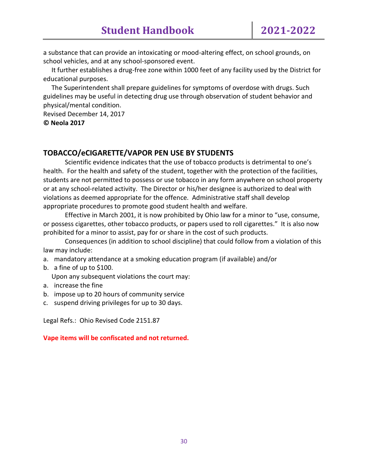a substance that can provide an intoxicating or mood-altering effect, on school grounds, on school vehicles, and at any school-sponsored event.

 It further establishes a drug-free zone within 1000 feet of any facility used by the District for educational purposes.

 The Superintendent shall prepare guidelines for symptoms of overdose with drugs. Such guidelines may be useful in detecting drug use through observation of student behavior and physical/mental condition.

Revised December 14, 2017 **© Neola 2017**

# **TOBACCO/eCIGARETTE/VAPOR PEN USE BY STUDENTS**

Scientific evidence indicates that the use of tobacco products is detrimental to one's health. For the health and safety of the student, together with the protection of the facilities, students are not permitted to possess or use tobacco in any form anywhere on school property or at any school-related activity. The Director or his/her designee is authorized to deal with violations as deemed appropriate for the offence. Administrative staff shall develop appropriate procedures to promote good student health and welfare.

Effective in March 2001, it is now prohibited by Ohio law for a minor to "use, consume, or possess cigarettes, other tobacco products, or papers used to roll cigarettes." It is also now prohibited for a minor to assist, pay for or share in the cost of such products.

Consequences (in addition to school discipline) that could follow from a violation of this law may include:

a. mandatory attendance at a smoking education program (if available) and/or

b. a fine of up to \$100.

Upon any subsequent violations the court may:

- a. increase the fine
- b. impose up to 20 hours of community service
- c. suspend driving privileges for up to 30 days.

Legal Refs.: Ohio Revised Code 2151.87

#### **Vape items will be confiscated and not returned.**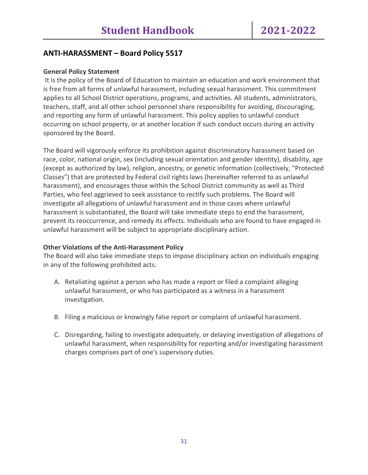# **ANTI-HARASSMENT – Board Policy 5517**

#### **General Policy Statement**

It is the policy of the Board of Education to maintain an education and work environment that is free from all forms of unlawful harassment, including sexual harassment. This commitment applies to all School District operations, programs, and activities. All students, administrators, teachers, staff, and all other school personnel share responsibility for avoiding, discouraging, and reporting any form of unlawful harassment. This policy applies to unlawful conduct occurring on school property, or at another location if such conduct occurs during an activity sponsored by the Board.

The Board will vigorously enforce its prohibition against discriminatory harassment based on race, color, national origin, sex (including sexual orientation and gender identity), disability, age (except as authorized by law), religion, ancestry, or genetic information (collectively, "Protected Classes") that are protected by Federal civil rights laws (hereinafter referred to as unlawful harassment), and encourages those within the School District community as well as Third Parties, who feel aggrieved to seek assistance to rectify such problems. The Board will investigate all allegations of unlawful harassment and in those cases where unlawful harassment is substantiated, the Board will take immediate steps to end the harassment, prevent its reoccurrence, and remedy its effects. Individuals who are found to have engaged in unlawful harassment will be subject to appropriate disciplinary action.

#### **Other Violations of the Anti-Harassment Policy**

The Board will also take immediate steps to impose disciplinary action on individuals engaging in any of the following prohibited acts:

- A. Retaliating against a person who has made a report or filed a complaint alleging unlawful harassment, or who has participated as a witness in a harassment investigation.
- B. Filing a malicious or knowingly false report or complaint of unlawful harassment.
- C. Disregarding, failing to investigate adequately, or delaying investigation of allegations of unlawful harassment, when responsibility for reporting and/or investigating harassment charges comprises part of one's supervisory duties.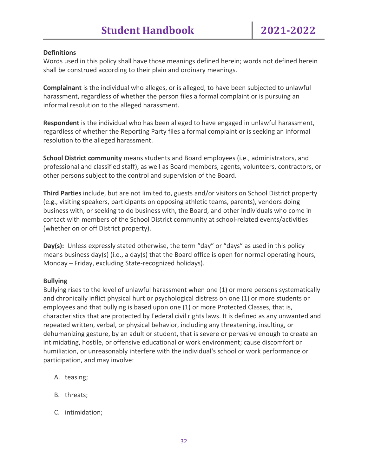#### **Definitions**

Words used in this policy shall have those meanings defined herein; words not defined herein shall be construed according to their plain and ordinary meanings.

**Complainant** is the individual who alleges, or is alleged, to have been subjected to unlawful harassment, regardless of whether the person files a formal complaint or is pursuing an informal resolution to the alleged harassment.

**Respondent** is the individual who has been alleged to have engaged in unlawful harassment, regardless of whether the Reporting Party files a formal complaint or is seeking an informal resolution to the alleged harassment.

**School District community** means students and Board employees (i.e., administrators, and professional and classified staff), as well as Board members, agents, volunteers, contractors, or other persons subject to the control and supervision of the Board.

**Third Parties** include, but are not limited to, guests and/or visitors on School District property (e.g., visiting speakers, participants on opposing athletic teams, parents), vendors doing business with, or seeking to do business with, the Board, and other individuals who come in contact with members of the School District community at school-related events/activities (whether on or off District property).

**Day(s):** Unless expressly stated otherwise, the term "day" or "days" as used in this policy means business day(s) (i.e., a day(s) that the Board office is open for normal operating hours, Monday – Friday, excluding State-recognized holidays).

#### **Bullying**

Bullying rises to the level of unlawful harassment when one (1) or more persons systematically and chronically inflict physical hurt or psychological distress on one (1) or more students or employees and that bullying is based upon one (1) or more Protected Classes, that is, characteristics that are protected by Federal civil rights laws. It is defined as any unwanted and repeated written, verbal, or physical behavior, including any threatening, insulting, or dehumanizing gesture, by an adult or student, that is severe or pervasive enough to create an intimidating, hostile, or offensive educational or work environment; cause discomfort or humiliation, or unreasonably interfere with the individual's school or work performance or participation, and may involve:

- A. teasing;
- B. threats;
- C. intimidation;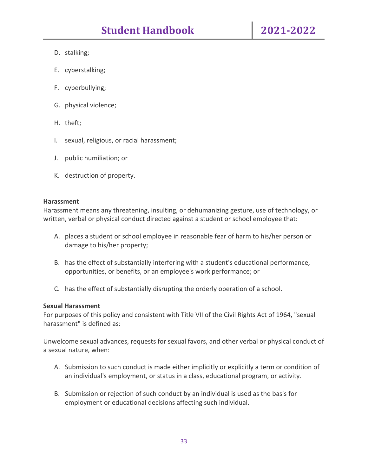- D. stalking;
- E. cyberstalking;
- F. cyberbullying;
- G. physical violence;
- H. theft;
- I. sexual, religious, or racial harassment;
- J. public humiliation; or
- K. destruction of property.

#### **Harassment**

Harassment means any threatening, insulting, or dehumanizing gesture, use of technology, or written, verbal or physical conduct directed against a student or school employee that:

- A. places a student or school employee in reasonable fear of harm to his/her person or damage to his/her property;
- B. has the effect of substantially interfering with a student's educational performance, opportunities, or benefits, or an employee's work performance; or
- C. has the effect of substantially disrupting the orderly operation of a school.

#### **Sexual Harassment**

For purposes of this policy and consistent with Title VII of the Civil Rights Act of 1964, "sexual harassment" is defined as:

Unwelcome sexual advances, requests for sexual favors, and other verbal or physical conduct of a sexual nature, when:

- A. Submission to such conduct is made either implicitly or explicitly a term or condition of an individual's employment, or status in a class, educational program, or activity.
- B. Submission or rejection of such conduct by an individual is used as the basis for employment or educational decisions affecting such individual.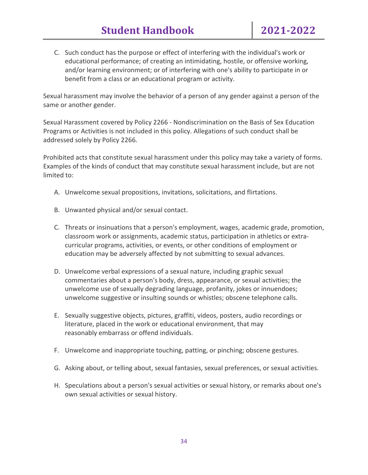C. Such conduct has the purpose or effect of interfering with the individual's work or educational performance; of creating an intimidating, hostile, or offensive working, and/or learning environment; or of interfering with one's ability to participate in or benefit from a class or an educational program or activity.

Sexual harassment may involve the behavior of a person of any gender against a person of the same or another gender.

Sexual Harassment covered by Policy 2266 - Nondiscrimination on the Basis of Sex Education Programs or Activities is not included in this policy. Allegations of such conduct shall be addressed solely by Policy 2266.

Prohibited acts that constitute sexual harassment under this policy may take a variety of forms. Examples of the kinds of conduct that may constitute sexual harassment include, but are not limited to:

- A. Unwelcome sexual propositions, invitations, solicitations, and flirtations.
- B. Unwanted physical and/or sexual contact.
- C. Threats or insinuations that a person's employment, wages, academic grade, promotion, classroom work or assignments, academic status, participation in athletics or extracurricular programs, activities, or events, or other conditions of employment or education may be adversely affected by not submitting to sexual advances.
- D. Unwelcome verbal expressions of a sexual nature, including graphic sexual commentaries about a person's body, dress, appearance, or sexual activities; the unwelcome use of sexually degrading language, profanity, jokes or innuendoes; unwelcome suggestive or insulting sounds or whistles; obscene telephone calls.
- E. Sexually suggestive objects, pictures, graffiti, videos, posters, audio recordings or literature, placed in the work or educational environment, that may reasonably embarrass or offend individuals.
- F. Unwelcome and inappropriate touching, patting, or pinching; obscene gestures.
- G. Asking about, or telling about, sexual fantasies, sexual preferences, or sexual activities.
- H. Speculations about a person's sexual activities or sexual history, or remarks about one's own sexual activities or sexual history.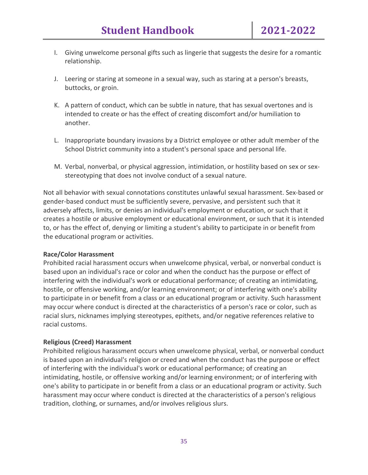- I. Giving unwelcome personal gifts such as lingerie that suggests the desire for a romantic relationship.
- J. Leering or staring at someone in a sexual way, such as staring at a person's breasts, buttocks, or groin.
- K. A pattern of conduct, which can be subtle in nature, that has sexual overtones and is intended to create or has the effect of creating discomfort and/or humiliation to another.
- L. Inappropriate boundary invasions by a District employee or other adult member of the School District community into a student's personal space and personal life.
- M. Verbal, nonverbal, or physical aggression, intimidation, or hostility based on sex or sexstereotyping that does not involve conduct of a sexual nature.

Not all behavior with sexual connotations constitutes unlawful sexual harassment. Sex-based or gender-based conduct must be sufficiently severe, pervasive, and persistent such that it adversely affects, limits, or denies an individual's employment or education, or such that it creates a hostile or abusive employment or educational environment, or such that it is intended to, or has the effect of, denying or limiting a student's ability to participate in or benefit from the educational program or activities.

#### **Race/Color Harassment**

Prohibited racial harassment occurs when unwelcome physical, verbal, or nonverbal conduct is based upon an individual's race or color and when the conduct has the purpose or effect of interfering with the individual's work or educational performance; of creating an intimidating, hostile, or offensive working, and/or learning environment; or of interfering with one's ability to participate in or benefit from a class or an educational program or activity. Such harassment may occur where conduct is directed at the characteristics of a person's race or color, such as racial slurs, nicknames implying stereotypes, epithets, and/or negative references relative to racial customs.

#### **Religious (Creed) Harassment**

Prohibited religious harassment occurs when unwelcome physical, verbal, or nonverbal conduct is based upon an individual's religion or creed and when the conduct has the purpose or effect of interfering with the individual's work or educational performance; of creating an intimidating, hostile, or offensive working and/or learning environment; or of interfering with one's ability to participate in or benefit from a class or an educational program or activity. Such harassment may occur where conduct is directed at the characteristics of a person's religious tradition, clothing, or surnames, and/or involves religious slurs.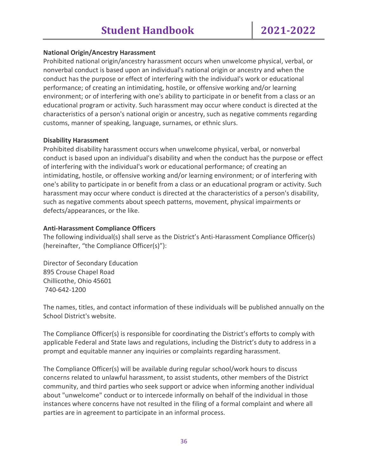#### **National Origin/Ancestry Harassment**

Prohibited national origin/ancestry harassment occurs when unwelcome physical, verbal, or nonverbal conduct is based upon an individual's national origin or ancestry and when the conduct has the purpose or effect of interfering with the individual's work or educational performance; of creating an intimidating, hostile, or offensive working and/or learning environment; or of interfering with one's ability to participate in or benefit from a class or an educational program or activity. Such harassment may occur where conduct is directed at the characteristics of a person's national origin or ancestry, such as negative comments regarding customs, manner of speaking, language, surnames, or ethnic slurs.

#### **Disability Harassment**

Prohibited disability harassment occurs when unwelcome physical, verbal, or nonverbal conduct is based upon an individual's disability and when the conduct has the purpose or effect of interfering with the individual's work or educational performance; of creating an intimidating, hostile, or offensive working and/or learning environment; or of interfering with one's ability to participate in or benefit from a class or an educational program or activity. Such harassment may occur where conduct is directed at the characteristics of a person's disability, such as negative comments about speech patterns, movement, physical impairments or defects/appearances, or the like.

#### **Anti-Harassment Compliance Officers**

The following individual(s) shall serve as the District's Anti-Harassment Compliance Officer(s) (hereinafter, "the Compliance Officer(s)"):

Director of Secondary Education 895 Crouse Chapel Road Chillicothe, Ohio 45601 740-642-1200

The names, titles, and contact information of these individuals will be published annually on the School District's website.

The Compliance Officer(s) is responsible for coordinating the District's efforts to comply with applicable Federal and State laws and regulations, including the District's duty to address in a prompt and equitable manner any inquiries or complaints regarding harassment.

The Compliance Officer(s) will be available during regular school/work hours to discuss concerns related to unlawful harassment, to assist students, other members of the District community, and third parties who seek support or advice when informing another individual about "unwelcome" conduct or to intercede informally on behalf of the individual in those instances where concerns have not resulted in the filing of a formal complaint and where all parties are in agreement to participate in an informal process.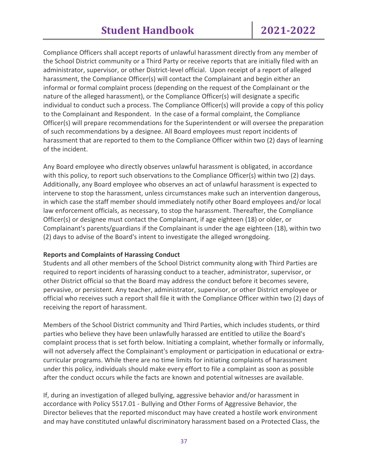Compliance Officers shall accept reports of unlawful harassment directly from any member of the School District community or a Third Party or receive reports that are initially filed with an administrator, supervisor, or other District-level official. Upon receipt of a report of alleged harassment, the Compliance Officer(s) will contact the Complainant and begin either an informal or formal complaint process (depending on the request of the Complainant or the nature of the alleged harassment), or the Compliance Officer(s) will designate a specific individual to conduct such a process. The Compliance Officer(s) will provide a copy of this policy to the Complainant and Respondent. In the case of a formal complaint, the Compliance Officer(s) will prepare recommendations for the Superintendent or will oversee the preparation of such recommendations by a designee. All Board employees must report incidents of harassment that are reported to them to the Compliance Officer within two (2) days of learning of the incident.

Any Board employee who directly observes unlawful harassment is obligated, in accordance with this policy, to report such observations to the Compliance Officer(s) within two (2) days. Additionally, any Board employee who observes an act of unlawful harassment is expected to intervene to stop the harassment, unless circumstances make such an intervention dangerous, in which case the staff member should immediately notify other Board employees and/or local law enforcement officials, as necessary, to stop the harassment. Thereafter, the Compliance Officer(s) or designee must contact the Complainant, if age eighteen (18) or older, or Complainant's parents/guardians if the Complainant is under the age eighteen (18), within two (2) days to advise of the Board's intent to investigate the alleged wrongdoing.

#### **Reports and Complaints of Harassing Conduct**

Students and all other members of the School District community along with Third Parties are required to report incidents of harassing conduct to a teacher, administrator, supervisor, or other District official so that the Board may address the conduct before it becomes severe, pervasive, or persistent. Any teacher, administrator, supervisor, or other District employee or official who receives such a report shall file it with the Compliance Officer within two (2) days of receiving the report of harassment.

Members of the School District community and Third Parties, which includes students, or third parties who believe they have been unlawfully harassed are entitled to utilize the Board's complaint process that is set forth below. Initiating a complaint, whether formally or informally, will not adversely affect the Complainant's employment or participation in educational or extracurricular programs. While there are no time limits for initiating complaints of harassment under this policy, individuals should make every effort to file a complaint as soon as possible after the conduct occurs while the facts are known and potential witnesses are available.

If, during an investigation of alleged bullying, aggressive behavior and/or harassment in accordance with Policy 5517.01 - Bullying and Other Forms of Aggressive Behavior, the Director believes that the reported misconduct may have created a hostile work environment and may have constituted unlawful discriminatory harassment based on a Protected Class, the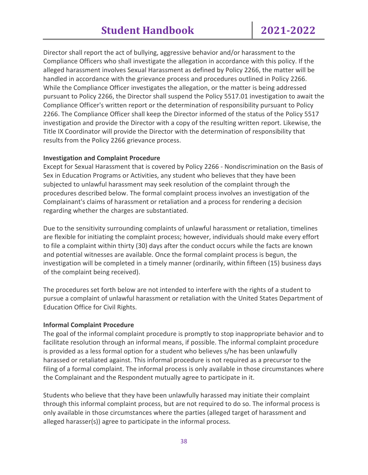Director shall report the act of bullying, aggressive behavior and/or harassment to the Compliance Officers who shall investigate the allegation in accordance with this policy. If the alleged harassment involves Sexual Harassment as defined by Policy 2266, the matter will be handled in accordance with the grievance process and procedures outlined in Policy 2266. While the Compliance Officer investigates the allegation, or the matter is being addressed pursuant to Policy 2266, the Director shall suspend the Policy 5517.01 investigation to await the Compliance Officer's written report or the determination of responsibility pursuant to Policy 2266. The Compliance Officer shall keep the Director informed of the status of the Policy 5517 investigation and provide the Director with a copy of the resulting written report. Likewise, the Title IX Coordinator will provide the Director with the determination of responsibility that results from the Policy 2266 grievance process.

#### **Investigation and Complaint Procedure**

Except for Sexual Harassment that is covered by Policy 2266 - Nondiscrimination on the Basis of Sex in Education Programs or Activities, any student who believes that they have been subjected to unlawful harassment may seek resolution of the complaint through the procedures described below. The formal complaint process involves an investigation of the Complainant's claims of harassment or retaliation and a process for rendering a decision regarding whether the charges are substantiated.

Due to the sensitivity surrounding complaints of unlawful harassment or retaliation, timelines are flexible for initiating the complaint process; however, individuals should make every effort to file a complaint within thirty (30) days after the conduct occurs while the facts are known and potential witnesses are available. Once the formal complaint process is begun, the investigation will be completed in a timely manner (ordinarily, within fifteen (15) business days of the complaint being received).

The procedures set forth below are not intended to interfere with the rights of a student to pursue a complaint of unlawful harassment or retaliation with the United States Department of Education Office for Civil Rights.

# **Informal Complaint Procedure**

The goal of the informal complaint procedure is promptly to stop inappropriate behavior and to facilitate resolution through an informal means, if possible. The informal complaint procedure is provided as a less formal option for a student who believes s/he has been unlawfully harassed or retaliated against. This informal procedure is not required as a precursor to the filing of a formal complaint. The informal process is only available in those circumstances where the Complainant and the Respondent mutually agree to participate in it.

Students who believe that they have been unlawfully harassed may initiate their complaint through this informal complaint process, but are not required to do so. The informal process is only available in those circumstances where the parties (alleged target of harassment and alleged harasser(s)) agree to participate in the informal process.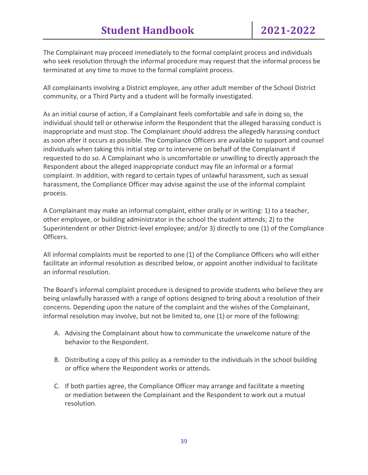The Complainant may proceed immediately to the formal complaint process and individuals who seek resolution through the informal procedure may request that the informal process be terminated at any time to move to the formal complaint process.

All complainants involving a District employee, any other adult member of the School District community, or a Third Party and a student will be formally investigated.

As an initial course of action, if a Complainant feels comfortable and safe in doing so, the individual should tell or otherwise inform the Respondent that the alleged harassing conduct is inappropriate and must stop. The Complainant should address the allegedly harassing conduct as soon after it occurs as possible. The Compliance Officers are available to support and counsel individuals when taking this initial step or to intervene on behalf of the Complainant if requested to do so. A Complainant who is uncomfortable or unwilling to directly approach the Respondent about the alleged inappropriate conduct may file an informal or a formal complaint. In addition, with regard to certain types of unlawful harassment, such as sexual harassment, the Compliance Officer may advise against the use of the informal complaint process.

A Complainant may make an informal complaint, either orally or in writing: 1) to a teacher, other employee, or building administrator in the school the student attends; 2) to the Superintendent or other District-level employee; and/or 3) directly to one (1) of the Compliance Officers.

All informal complaints must be reported to one (1) of the Compliance Officers who will either facilitate an informal resolution as described below, or appoint another individual to facilitate an informal resolution.

The Board's informal complaint procedure is designed to provide students who believe they are being unlawfully harassed with a range of options designed to bring about a resolution of their concerns. Depending upon the nature of the complaint and the wishes of the Complainant, informal resolution may involve, but not be limited to, one (1) or more of the following:

- A. Advising the Complainant about how to communicate the unwelcome nature of the behavior to the Respondent.
- B. Distributing a copy of this policy as a reminder to the individuals in the school building or office where the Respondent works or attends.
- C. If both parties agree, the Compliance Officer may arrange and facilitate a meeting or mediation between the Complainant and the Respondent to work out a mutual resolution.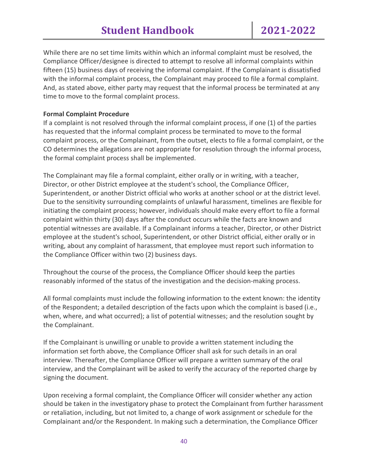While there are no set time limits within which an informal complaint must be resolved, the Compliance Officer/designee is directed to attempt to resolve all informal complaints within fifteen (15) business days of receiving the informal complaint. If the Complainant is dissatisfied with the informal complaint process, the Complainant may proceed to file a formal complaint. And, as stated above, either party may request that the informal process be terminated at any time to move to the formal complaint process.

#### **Formal Complaint Procedure**

If a complaint is not resolved through the informal complaint process, if one (1) of the parties has requested that the informal complaint process be terminated to move to the formal complaint process, or the Complainant, from the outset, elects to file a formal complaint, or the CO determines the allegations are not appropriate for resolution through the informal process, the formal complaint process shall be implemented.

The Complainant may file a formal complaint, either orally or in writing, with a teacher, Director, or other District employee at the student's school, the Compliance Officer, Superintendent, or another District official who works at another school or at the district level. Due to the sensitivity surrounding complaints of unlawful harassment, timelines are flexible for initiating the complaint process; however, individuals should make every effort to file a formal complaint within thirty (30) days after the conduct occurs while the facts are known and potential witnesses are available. If a Complainant informs a teacher, Director, or other District employee at the student's school, Superintendent, or other District official, either orally or in writing, about any complaint of harassment, that employee must report such information to the Compliance Officer within two (2) business days.

Throughout the course of the process, the Compliance Officer should keep the parties reasonably informed of the status of the investigation and the decision-making process.

All formal complaints must include the following information to the extent known: the identity of the Respondent; a detailed description of the facts upon which the complaint is based (i.e., when, where, and what occurred); a list of potential witnesses; and the resolution sought by the Complainant.

If the Complainant is unwilling or unable to provide a written statement including the information set forth above, the Compliance Officer shall ask for such details in an oral interview. Thereafter, the Compliance Officer will prepare a written summary of the oral interview, and the Complainant will be asked to verify the accuracy of the reported charge by signing the document.

Upon receiving a formal complaint, the Compliance Officer will consider whether any action should be taken in the investigatory phase to protect the Complainant from further harassment or retaliation, including, but not limited to, a change of work assignment or schedule for the Complainant and/or the Respondent. In making such a determination, the Compliance Officer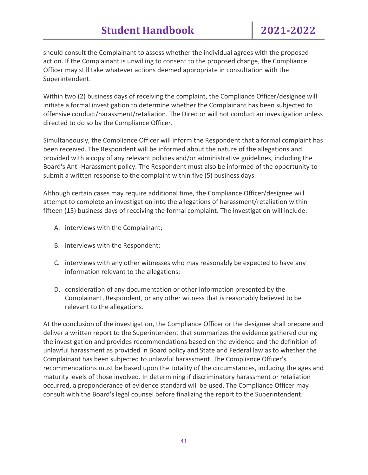should consult the Complainant to assess whether the individual agrees with the proposed action. If the Complainant is unwilling to consent to the proposed change, the Compliance Officer may still take whatever actions deemed appropriate in consultation with the Superintendent.

Within two (2) business days of receiving the complaint, the Compliance Officer/designee will initiate a formal investigation to determine whether the Complainant has been subjected to offensive conduct/harassment/retaliation. The Director will not conduct an investigation unless directed to do so by the Compliance Officer.

Simultaneously, the Compliance Officer will inform the Respondent that a formal complaint has been received. The Respondent will be informed about the nature of the allegations and provided with a copy of any relevant policies and/or administrative guidelines, including the Board's Anti-Harassment policy. The Respondent must also be informed of the opportunity to submit a written response to the complaint within five (5) business days.

Although certain cases may require additional time, the Compliance Officer/designee will attempt to complete an investigation into the allegations of harassment/retaliation within fifteen (15) business days of receiving the formal complaint. The investigation will include:

- A. interviews with the Complainant;
- B. interviews with the Respondent;
- C. interviews with any other witnesses who may reasonably be expected to have any information relevant to the allegations;
- D. consideration of any documentation or other information presented by the Complainant, Respondent, or any other witness that is reasonably believed to be relevant to the allegations.

At the conclusion of the investigation, the Compliance Officer or the designee shall prepare and deliver a written report to the Superintendent that summarizes the evidence gathered during the investigation and provides recommendations based on the evidence and the definition of unlawful harassment as provided in Board policy and State and Federal law as to whether the Complainant has been subjected to unlawful harassment. The Compliance Officer's recommendations must be based upon the totality of the circumstances, including the ages and maturity levels of those involved. In determining if discriminatory harassment or retaliation occurred, a preponderance of evidence standard will be used. The Compliance Officer may consult with the Board's legal counsel before finalizing the report to the Superintendent.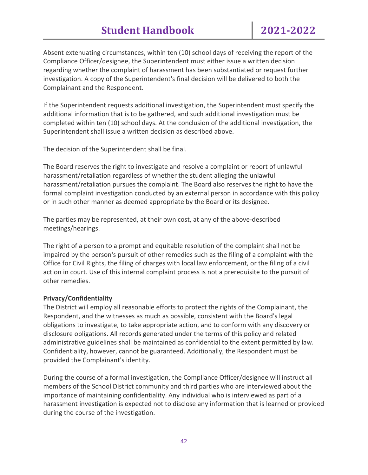# **Student Handbook 2021-2022**

Absent extenuating circumstances, within ten (10) school days of receiving the report of the Compliance Officer/designee, the Superintendent must either issue a written decision regarding whether the complaint of harassment has been substantiated or request further investigation. A copy of the Superintendent's final decision will be delivered to both the Complainant and the Respondent.

If the Superintendent requests additional investigation, the Superintendent must specify the additional information that is to be gathered, and such additional investigation must be completed within ten (10) school days. At the conclusion of the additional investigation, the Superintendent shall issue a written decision as described above.

The decision of the Superintendent shall be final.

The Board reserves the right to investigate and resolve a complaint or report of unlawful harassment/retaliation regardless of whether the student alleging the unlawful harassment/retaliation pursues the complaint. The Board also reserves the right to have the formal complaint investigation conducted by an external person in accordance with this policy or in such other manner as deemed appropriate by the Board or its designee.

The parties may be represented, at their own cost, at any of the above-described meetings/hearings.

The right of a person to a prompt and equitable resolution of the complaint shall not be impaired by the person's pursuit of other remedies such as the filing of a complaint with the Office for Civil Rights, the filing of charges with local law enforcement, or the filing of a civil action in court. Use of this internal complaint process is not a prerequisite to the pursuit of other remedies.

#### **Privacy/Confidentiality**

The District will employ all reasonable efforts to protect the rights of the Complainant, the Respondent, and the witnesses as much as possible, consistent with the Board's legal obligations to investigate, to take appropriate action, and to conform with any discovery or disclosure obligations. All records generated under the terms of this policy and related administrative guidelines shall be maintained as confidential to the extent permitted by law. Confidentiality, however, cannot be guaranteed. Additionally, the Respondent must be provided the Complainant's identity.

During the course of a formal investigation, the Compliance Officer/designee will instruct all members of the School District community and third parties who are interviewed about the importance of maintaining confidentiality. Any individual who is interviewed as part of a harassment investigation is expected not to disclose any information that is learned or provided during the course of the investigation.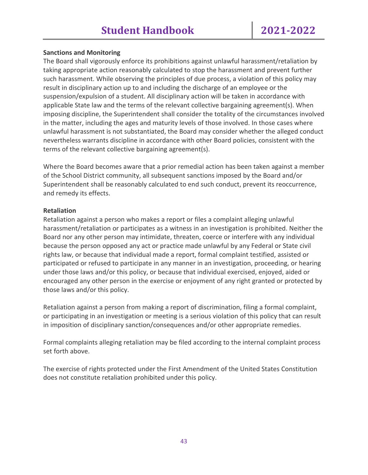#### **Sanctions and Monitoring**

The Board shall vigorously enforce its prohibitions against unlawful harassment/retaliation by taking appropriate action reasonably calculated to stop the harassment and prevent further such harassment. While observing the principles of due process, a violation of this policy may result in disciplinary action up to and including the discharge of an employee or the suspension/expulsion of a student. All disciplinary action will be taken in accordance with applicable State law and the terms of the relevant collective bargaining agreement(s). When imposing discipline, the Superintendent shall consider the totality of the circumstances involved in the matter, including the ages and maturity levels of those involved. In those cases where unlawful harassment is not substantiated, the Board may consider whether the alleged conduct nevertheless warrants discipline in accordance with other Board policies, consistent with the terms of the relevant collective bargaining agreement(s).

Where the Board becomes aware that a prior remedial action has been taken against a member of the School District community, all subsequent sanctions imposed by the Board and/or Superintendent shall be reasonably calculated to end such conduct, prevent its reoccurrence, and remedy its effects.

#### **Retaliation**

Retaliation against a person who makes a report or files a complaint alleging unlawful harassment/retaliation or participates as a witness in an investigation is prohibited. Neither the Board nor any other person may intimidate, threaten, coerce or interfere with any individual because the person opposed any act or practice made unlawful by any Federal or State civil rights law, or because that individual made a report, formal complaint testified, assisted or participated or refused to participate in any manner in an investigation, proceeding, or hearing under those laws and/or this policy, or because that individual exercised, enjoyed, aided or encouraged any other person in the exercise or enjoyment of any right granted or protected by those laws and/or this policy.

Retaliation against a person from making a report of discrimination, filing a formal complaint, or participating in an investigation or meeting is a serious violation of this policy that can result in imposition of disciplinary sanction/consequences and/or other appropriate remedies.

Formal complaints alleging retaliation may be filed according to the internal complaint process set forth above.

The exercise of rights protected under the First Amendment of the United States Constitution does not constitute retaliation prohibited under this policy.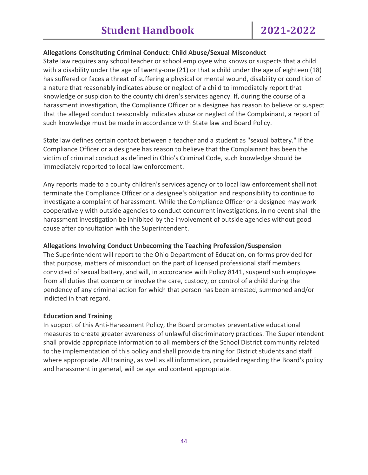#### **Allegations Constituting Criminal Conduct: Child Abuse/Sexual Misconduct**

State law requires any school teacher or school employee who knows or suspects that a child with a disability under the age of twenty-one (21) or that a child under the age of eighteen (18) has suffered or faces a threat of suffering a physical or mental wound, disability or condition of a nature that reasonably indicates abuse or neglect of a child to immediately report that knowledge or suspicion to the county children's services agency. If, during the course of a harassment investigation, the Compliance Officer or a designee has reason to believe or suspect that the alleged conduct reasonably indicates abuse or neglect of the Complainant, a report of such knowledge must be made in accordance with State law and Board Policy.

State law defines certain contact between a teacher and a student as "sexual battery." If the Compliance Officer or a designee has reason to believe that the Complainant has been the victim of criminal conduct as defined in Ohio's Criminal Code, such knowledge should be immediately reported to local law enforcement.

Any reports made to a county children's services agency or to local law enforcement shall not terminate the Compliance Officer or a designee's obligation and responsibility to continue to investigate a complaint of harassment. While the Compliance Officer or a designee may work cooperatively with outside agencies to conduct concurrent investigations, in no event shall the harassment investigation be inhibited by the involvement of outside agencies without good cause after consultation with the Superintendent.

# **Allegations Involving Conduct Unbecoming the Teaching Profession/Suspension**

The Superintendent will report to the Ohio Department of Education, on forms provided for that purpose, matters of misconduct on the part of licensed professional staff members convicted of sexual battery, and will, in accordance with Policy 8141, suspend such employee from all duties that concern or involve the care, custody, or control of a child during the pendency of any criminal action for which that person has been arrested, summoned and/or indicted in that regard.

#### **Education and Training**

In support of this Anti-Harassment Policy, the Board promotes preventative educational measures to create greater awareness of unlawful discriminatory practices. The Superintendent shall provide appropriate information to all members of the School District community related to the implementation of this policy and shall provide training for District students and staff where appropriate. All training, as well as all information, provided regarding the Board's policy and harassment in general, will be age and content appropriate.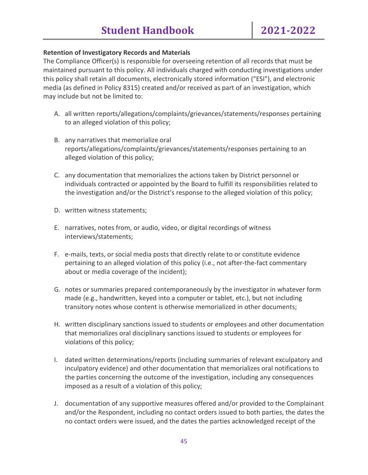#### **Retention of Investigatory Records and Materials**

The Compliance Officer(s) is responsible for overseeing retention of all records that must be maintained pursuant to this policy. All individuals charged with conducting investigations under this policy shall retain all documents, electronically stored information ("ESI"), and electronic media (as defined in Policy 8315) created and/or received as part of an investigation, which may include but not be limited to:

- A. all written reports/allegations/complaints/grievances/statements/responses pertaining to an alleged violation of this policy;
- B. any narratives that memorialize oral reports/allegations/complaints/grievances/statements/responses pertaining to an alleged violation of this policy;
- C. any documentation that memorializes the actions taken by District personnel or individuals contracted or appointed by the Board to fulfill its responsibilities related to the investigation and/or the District's response to the alleged violation of this policy;
- D. written witness statements;
- E. narratives, notes from, or audio, video, or digital recordings of witness interviews/statements;
- F. e-mails, texts, or social media posts that directly relate to or constitute evidence pertaining to an alleged violation of this policy (i.e., not after-the-fact commentary about or media coverage of the incident);
- G. notes or summaries prepared contemporaneously by the investigator in whatever form made (e.g., handwritten, keyed into a computer or tablet, etc.), but not including transitory notes whose content is otherwise memorialized in other documents;
- H. written disciplinary sanctions issued to students or employees and other documentation that memorializes oral disciplinary sanctions issued to students or employees for violations of this policy;
- I. dated written determinations/reports (including summaries of relevant exculpatory and inculpatory evidence) and other documentation that memorializes oral notifications to the parties concerning the outcome of the investigation, including any consequences imposed as a result of a violation of this policy;
- J. documentation of any supportive measures offered and/or provided to the Complainant and/or the Respondent, including no contact orders issued to both parties, the dates the no contact orders were issued, and the dates the parties acknowledged receipt of the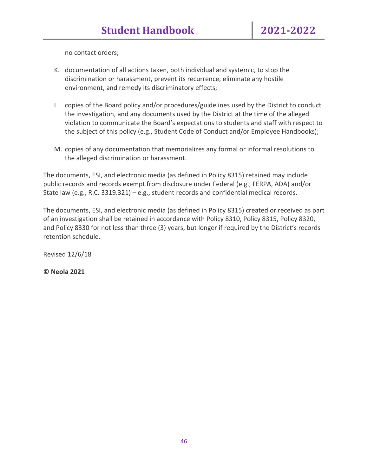no contact orders;

- K. documentation of all actions taken, both individual and systemic, to stop the discrimination or harassment, prevent its recurrence, eliminate any hostile environment, and remedy its discriminatory effects;
- L. copies of the Board policy and/or procedures/guidelines used by the District to conduct the investigation, and any documents used by the District at the time of the alleged violation to communicate the Board's expectations to students and staff with respect to the subject of this policy (e.g., Student Code of Conduct and/or Employee Handbooks);
- M. copies of any documentation that memorializes any formal or informal resolutions to the alleged discrimination or harassment.

The documents, ESI, and electronic media (as defined in Policy 8315) retained may include public records and records exempt from disclosure under Federal (e.g., FERPA, ADA) and/or State law (e.g., R.C. 3319.321) – e.g., student records and confidential medical records.

The documents, ESI, and electronic media (as defined in Policy 8315) created or received as part of an investigation shall be retained in accordance with Policy 8310, Policy 8315, Policy 8320, and Policy 8330 for not less than three (3) years, but longer if required by the District's records retention schedule.

Revised 12/6/18

**© Neola 2021**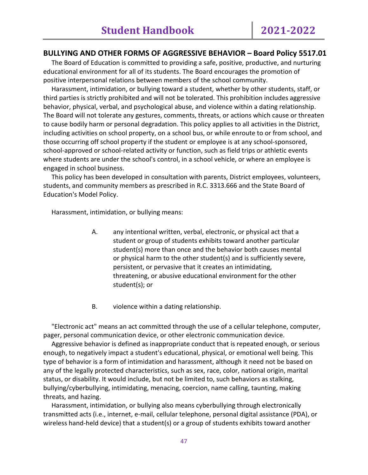#### **BULLYING AND OTHER FORMS OF AGGRESSIVE BEHAVIOR – Board Policy 5517.01**

 The Board of Education is committed to providing a safe, positive, productive, and nurturing educational environment for all of its students. The Board encourages the promotion of positive interpersonal relations between members of the school community.

 Harassment, intimidation, or bullying toward a student, whether by other students, staff, or third parties is strictly prohibited and will not be tolerated. This prohibition includes aggressive behavior, physical, verbal, and psychological abuse, and violence within a dating relationship. The Board will not tolerate any gestures, comments, threats, or actions which cause or threaten to cause bodily harm or personal degradation. This policy applies to all activities in the District, including activities on school property, on a school bus, or while enroute to or from school, and those occurring off school property if the student or employee is at any school-sponsored, school-approved or school-related activity or function, such as field trips or athletic events where students are under the school's control, in a school vehicle, or where an employee is engaged in school business.

 This policy has been developed in consultation with parents, District employees, volunteers, students, and community members as prescribed in R.C. 3313.666 and the State Board of Education's Model Policy.

Harassment, intimidation, or bullying means:

- A. any intentional written, verbal, electronic, or physical act that a student or group of students exhibits toward another particular student(s) more than once and the behavior both causes mental or physical harm to the other student(s) and is sufficiently severe, persistent, or pervasive that it creates an intimidating, threatening, or abusive educational environment for the other student(s); or
- B. violence within a dating relationship.

 "Electronic act" means an act committed through the use of a cellular telephone, computer, pager, personal communication device, or other electronic communication device.

 Aggressive behavior is defined as inappropriate conduct that is repeated enough, or serious enough, to negatively impact a student's educational, physical, or emotional well being. This type of behavior is a form of intimidation and harassment, although it need not be based on any of the legally protected characteristics, such as sex, race, color, national origin, marital status, or disability. It would include, but not be limited to, such behaviors as stalking, bullying/cyberbullying, intimidating, menacing, coercion, name calling, taunting, making threats, and hazing.

 Harassment, intimidation, or bullying also means cyberbullying through electronically transmitted acts (i.e., internet, e-mail, cellular telephone, personal digital assistance (PDA), or wireless hand-held device) that a student(s) or a group of students exhibits toward another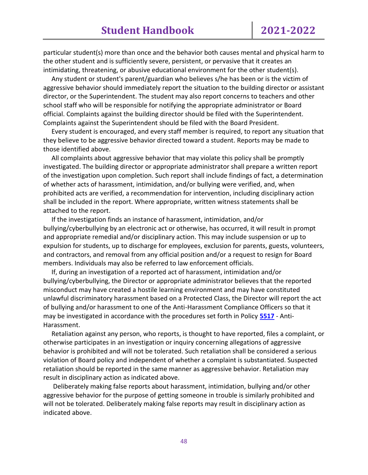particular student(s) more than once and the behavior both causes mental and physical harm to the other student and is sufficiently severe, persistent, or pervasive that it creates an intimidating, threatening, or abusive educational environment for the other student(s).

 Any student or student's parent/guardian who believes s/he has been or is the victim of aggressive behavior should immediately report the situation to the building director or assistant director, or the Superintendent. The student may also report concerns to teachers and other school staff who will be responsible for notifying the appropriate administrator or Board official. Complaints against the building director should be filed with the Superintendent. Complaints against the Superintendent should be filed with the Board President.

 Every student is encouraged, and every staff member is required, to report any situation that they believe to be aggressive behavior directed toward a student. Reports may be made to those identified above.

 All complaints about aggressive behavior that may violate this policy shall be promptly investigated. The building director or appropriate administrator shall prepare a written report of the investigation upon completion. Such report shall include findings of fact, a determination of whether acts of harassment, intimidation, and/or bullying were verified, and, when prohibited acts are verified, a recommendation for intervention, including disciplinary action shall be included in the report. Where appropriate, written witness statements shall be attached to the report.

 If the investigation finds an instance of harassment, intimidation, and/or bullying/cyberbullying by an electronic act or otherwise, has occurred, it will result in prompt and appropriate remedial and/or disciplinary action. This may include suspension or up to expulsion for students, up to discharge for employees, exclusion for parents, guests, volunteers, and contractors, and removal from any official position and/or a request to resign for Board members. Individuals may also be referred to law enforcement officials.

 If, during an investigation of a reported act of harassment, intimidation and/or bullying/cyberbullying, the Director or appropriate administrator believes that the reported misconduct may have created a hostile learning environment and may have constituted unlawful discriminatory harassment based on a Protected Class, the Director will report the act of bullying and/or harassment to one of the Anti-Harassment Compliance Officers so that it may be investigated in accordance with the procedures set forth in Policy **[5517](http://www.neola.com/pickaway-oh/search/policies/po5517.htm)** - Anti-Harassment.

 Retaliation against any person, who reports, is thought to have reported, files a complaint, or otherwise participates in an investigation or inquiry concerning allegations of aggressive behavior is prohibited and will not be tolerated. Such retaliation shall be considered a serious violation of Board policy and independent of whether a complaint is substantiated. Suspected retaliation should be reported in the same manner as aggressive behavior. Retaliation may result in disciplinary action as indicated above.

 Deliberately making false reports about harassment, intimidation, bullying and/or other aggressive behavior for the purpose of getting someone in trouble is similarly prohibited and will not be tolerated. Deliberately making false reports may result in disciplinary action as indicated above.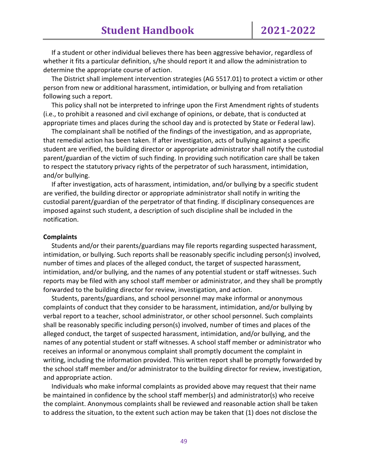If a student or other individual believes there has been aggressive behavior, regardless of whether it fits a particular definition, s/he should report it and allow the administration to determine the appropriate course of action.

 The District shall implement intervention strategies (AG 5517.01) to protect a victim or other person from new or additional harassment, intimidation, or bullying and from retaliation following such a report.

 This policy shall not be interpreted to infringe upon the First Amendment rights of students (i.e., to prohibit a reasoned and civil exchange of opinions, or debate, that is conducted at appropriate times and places during the school day and is protected by State or Federal law).

 The complainant shall be notified of the findings of the investigation, and as appropriate, that remedial action has been taken. If after investigation, acts of bullying against a specific student are verified, the building director or appropriate administrator shall notify the custodial parent/guardian of the victim of such finding. In providing such notification care shall be taken to respect the statutory privacy rights of the perpetrator of such harassment, intimidation, and/or bullying.

 If after investigation, acts of harassment, intimidation, and/or bullying by a specific student are verified, the building director or appropriate administrator shall notify in writing the custodial parent/guardian of the perpetrator of that finding. If disciplinary consequences are imposed against such student, a description of such discipline shall be included in the notification.

#### **Complaints**

 Students and/or their parents/guardians may file reports regarding suspected harassment, intimidation, or bullying. Such reports shall be reasonably specific including person(s) involved, number of times and places of the alleged conduct, the target of suspected harassment, intimidation, and/or bullying, and the names of any potential student or staff witnesses. Such reports may be filed with any school staff member or administrator, and they shall be promptly forwarded to the building director for review, investigation, and action.

 Students, parents/guardians, and school personnel may make informal or anonymous complaints of conduct that they consider to be harassment, intimidation, and/or bullying by verbal report to a teacher, school administrator, or other school personnel. Such complaints shall be reasonably specific including person(s) involved, number of times and places of the alleged conduct, the target of suspected harassment, intimidation, and/or bullying, and the names of any potential student or staff witnesses. A school staff member or administrator who receives an informal or anonymous complaint shall promptly document the complaint in writing, including the information provided. This written report shall be promptly forwarded by the school staff member and/or administrator to the building director for review, investigation, and appropriate action.

 Individuals who make informal complaints as provided above may request that their name be maintained in confidence by the school staff member(s) and administrator(s) who receive the complaint. Anonymous complaints shall be reviewed and reasonable action shall be taken to address the situation, to the extent such action may be taken that (1) does not disclose the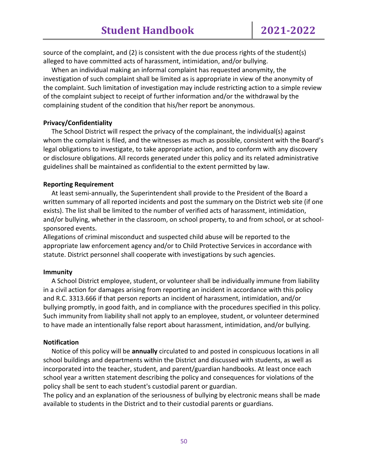source of the complaint, and (2) is consistent with the due process rights of the student(s) alleged to have committed acts of harassment, intimidation, and/or bullying.

 When an individual making an informal complaint has requested anonymity, the investigation of such complaint shall be limited as is appropriate in view of the anonymity of the complaint. Such limitation of investigation may include restricting action to a simple review of the complaint subject to receipt of further information and/or the withdrawal by the complaining student of the condition that his/her report be anonymous.

#### **Privacy/Confidentiality**

 The School District will respect the privacy of the complainant, the individual(s) against whom the complaint is filed, and the witnesses as much as possible, consistent with the Board's legal obligations to investigate, to take appropriate action, and to conform with any discovery or disclosure obligations. All records generated under this policy and its related administrative guidelines shall be maintained as confidential to the extent permitted by law.

#### **Reporting Requirement**

 At least semi-annually, the Superintendent shall provide to the President of the Board a written summary of all reported incidents and post the summary on the District web site (if one exists). The list shall be limited to the number of verified acts of harassment, intimidation, and/or bullying, whether in the classroom, on school property, to and from school, or at schoolsponsored events.

Allegations of criminal misconduct and suspected child abuse will be reported to the appropriate law enforcement agency and/or to Child Protective Services in accordance with statute. District personnel shall cooperate with investigations by such agencies.

#### **Immunity**

 A School District employee, student, or volunteer shall be individually immune from liability in a civil action for damages arising from reporting an incident in accordance with this policy and R.C. 3313.666 if that person reports an incident of harassment, intimidation, and/or bullying promptly, in good faith, and in compliance with the procedures specified in this policy. Such immunity from liability shall not apply to an employee, student, or volunteer determined to have made an intentionally false report about harassment, intimidation, and/or bullying.

#### **Notification**

 Notice of this policy will be **annually** circulated to and posted in conspicuous locations in all school buildings and departments within the District and discussed with students, as well as incorporated into the teacher, student, and parent/guardian handbooks. At least once each school year a written statement describing the policy and consequences for violations of the policy shall be sent to each student's custodial parent or guardian.

The policy and an explanation of the seriousness of bullying by electronic means shall be made available to students in the District and to their custodial parents or guardians.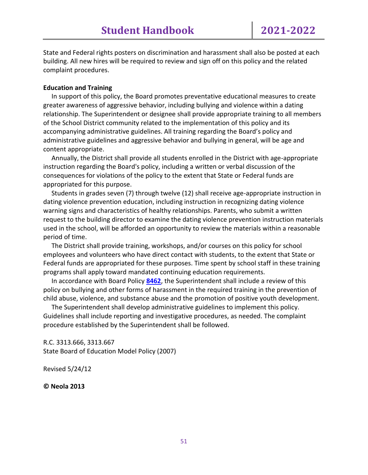State and Federal rights posters on discrimination and harassment shall also be posted at each building. All new hires will be required to review and sign off on this policy and the related complaint procedures.

#### **Education and Training**

 In support of this policy, the Board promotes preventative educational measures to create greater awareness of aggressive behavior, including bullying and violence within a dating relationship. The Superintendent or designee shall provide appropriate training to all members of the School District community related to the implementation of this policy and its accompanying administrative guidelines. All training regarding the Board's policy and administrative guidelines and aggressive behavior and bullying in general, will be age and content appropriate.

 Annually, the District shall provide all students enrolled in the District with age-appropriate instruction regarding the Board's policy, including a written or verbal discussion of the consequences for violations of the policy to the extent that State or Federal funds are appropriated for this purpose.

 Students in grades seven (7) through twelve (12) shall receive age-appropriate instruction in dating violence prevention education, including instruction in recognizing dating violence warning signs and characteristics of healthy relationships. Parents, who submit a written request to the building director to examine the dating violence prevention instruction materials used in the school, will be afforded an opportunity to review the materials within a reasonable period of time.

 The District shall provide training, workshops, and/or courses on this policy for school employees and volunteers who have direct contact with students, to the extent that State or Federal funds are appropriated for these purposes. Time spent by school staff in these training programs shall apply toward mandated continuing education requirements.

 In accordance with Board Policy **[8462](http://www.neola.com/pickaway-oh/search/policies/po8462.htm)**, the Superintendent shall include a review of this policy on bullying and other forms of harassment in the required training in the prevention of child abuse, violence, and substance abuse and the promotion of positive youth development.

 The Superintendent shall develop administrative guidelines to implement this policy. Guidelines shall include reporting and investigative procedures, as needed. The complaint procedure established by the Superintendent shall be followed.

R.C. 3313.666, 3313.667 State Board of Education Model Policy (2007)

Revised 5/24/12

**© Neola 2013**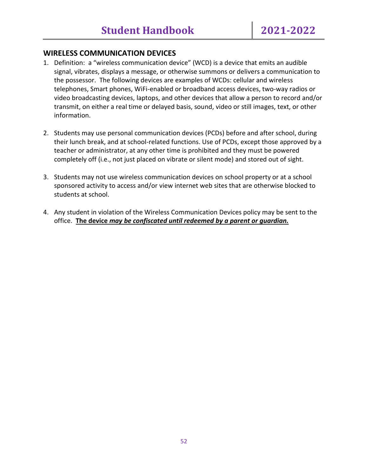# **WIRELESS COMMUNICATION DEVICES**

- 1. Definition: a "wireless communication device" (WCD) is a device that emits an audible signal, vibrates, displays a message, or otherwise summons or delivers a communication to the possessor. The following devices are examples of WCDs: cellular and wireless telephones, Smart phones, WiFi-enabled or broadband access devices, two-way radios or video broadcasting devices, laptops, and other devices that allow a person to record and/or transmit, on either a real time or delayed basis, sound, video or still images, text, or other information.
- 2. Students may use personal communication devices (PCDs) before and after school, during their lunch break, and at school-related functions. Use of PCDs, except those approved by a teacher or administrator, at any other time is prohibited and they must be powered completely off (i.e., not just placed on vibrate or silent mode) and stored out of sight.
- 3. Students may not use wireless communication devices on school property or at a school sponsored activity to access and/or view internet web sites that are otherwise blocked to students at school.
- 4. Any student in violation of the Wireless Communication Devices policy may be sent to the office. **The device** *may be confiscated until redeemed by a parent or guardian.*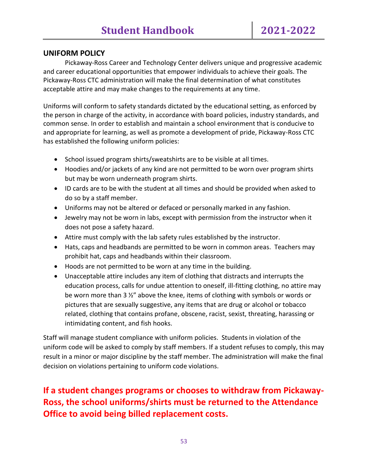# **UNIFORM POLICY**

Pickaway-Ross Career and Technology Center delivers unique and progressive academic and career educational opportunities that empower individuals to achieve their goals. The Pickaway-Ross CTC administration will make the final determination of what constitutes acceptable attire and may make changes to the requirements at any time.

Uniforms will conform to safety standards dictated by the educational setting, as enforced by the person in charge of the activity, in accordance with board policies, industry standards, and common sense. In order to establish and maintain a school environment that is conducive to and appropriate for learning, as well as promote a development of pride, Pickaway-Ross CTC has established the following uniform policies:

- School issued program shirts/sweatshirts are to be visible at all times.
- Hoodies and/or jackets of any kind are not permitted to be worn over program shirts but may be worn underneath program shirts.
- ID cards are to be with the student at all times and should be provided when asked to do so by a staff member.
- Uniforms may not be altered or defaced or personally marked in any fashion.
- Jewelry may not be worn in labs, except with permission from the instructor when it does not pose a safety hazard.
- Attire must comply with the lab safety rules established by the instructor.
- Hats, caps and headbands are permitted to be worn in common areas. Teachers may prohibit hat, caps and headbands within their classroom.
- Hoods are not permitted to be worn at any time in the building.
- Unacceptable attire includes any item of clothing that distracts and interrupts the education process, calls for undue attention to oneself, ill-fitting clothing, no attire may be worn more than 3 ½" above the knee, items of clothing with symbols or words or pictures that are sexually suggestive, any items that are drug or alcohol or tobacco related, clothing that contains profane, obscene, racist, sexist, threating, harassing or intimidating content, and fish hooks.

Staff will manage student compliance with uniform policies. Students in violation of the uniform code will be asked to comply by staff members. If a student refuses to comply, this may result in a minor or major discipline by the staff member. The administration will make the final decision on violations pertaining to uniform code violations.

# **If a student changes programs or chooses to withdraw from Pickaway-Ross, the school uniforms/shirts must be returned to the Attendance Office to avoid being billed replacement costs.**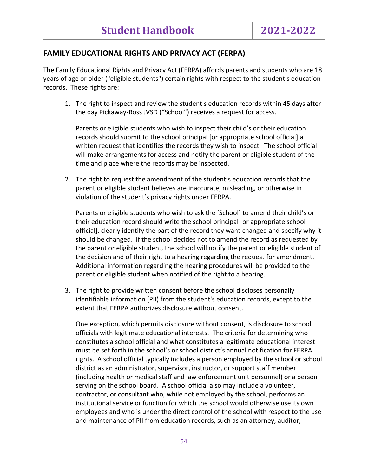# **FAMILY EDUCATIONAL RIGHTS AND PRIVACY ACT (FERPA)**

The Family Educational Rights and Privacy Act (FERPA) affords parents and students who are 18 years of age or older ("eligible students") certain rights with respect to the student's education records. These rights are:

1. The right to inspect and review the student's education records within 45 days after the day Pickaway-Ross JVSD ("School") receives a request for access.

Parents or eligible students who wish to inspect their child's or their education records should submit to the school principal [or appropriate school official] a written request that identifies the records they wish to inspect. The school official will make arrangements for access and notify the parent or eligible student of the time and place where the records may be inspected.

2. The right to request the amendment of the student's education records that the parent or eligible student believes are inaccurate, misleading, or otherwise in violation of the student's privacy rights under FERPA.

Parents or eligible students who wish to ask the [School] to amend their child's or their education record should write the school principal [or appropriate school official], clearly identify the part of the record they want changed and specify why it should be changed. If the school decides not to amend the record as requested by the parent or eligible student, the school will notify the parent or eligible student of the decision and of their right to a hearing regarding the request for amendment. Additional information regarding the hearing procedures will be provided to the parent or eligible student when notified of the right to a hearing.

3. The right to provide written consent before the school discloses personally identifiable information (PII) from the student's education records, except to the extent that FERPA authorizes disclosure without consent.

One exception, which permits disclosure without consent, is disclosure to school officials with legitimate educational interests. The criteria for determining who constitutes a school official and what constitutes a legitimate educational interest must be set forth in the school's or school district's annual notification for FERPA rights. A school official typically includes a person employed by the school or school district as an administrator, supervisor, instructor, or support staff member (including health or medical staff and law enforcement unit personnel) or a person serving on the school board. A school official also may include a volunteer, contractor, or consultant who, while not employed by the school, performs an institutional service or function for which the school would otherwise use its own employees and who is under the direct control of the school with respect to the use and maintenance of PII from education records, such as an attorney, auditor,